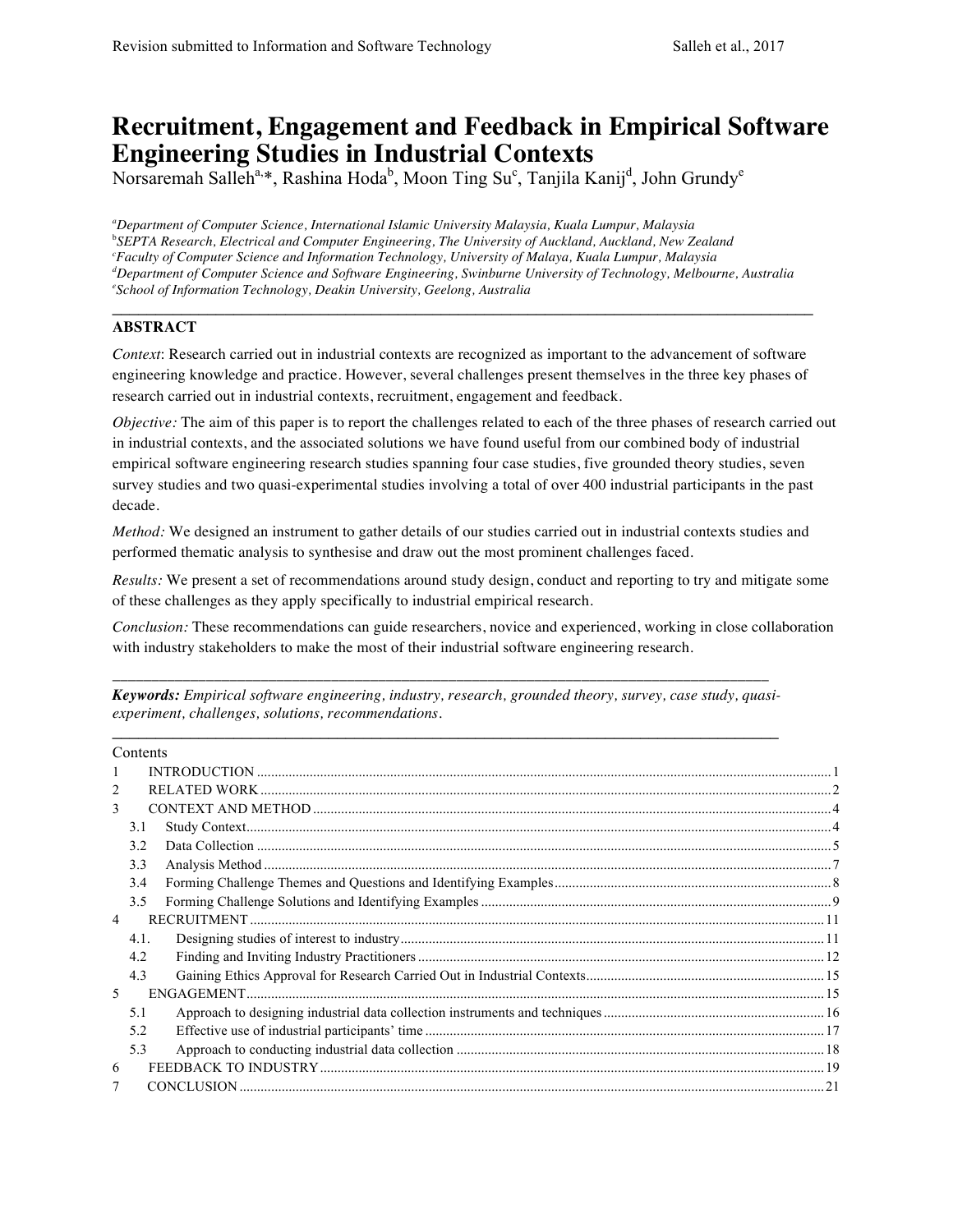# **Recruitment, Engagement and Feedback in Empirical Software Engineering Studies in Industrial Contexts**

Norsaremah Salleh<sup>a,\*</sup>, Rashina Hoda<sup>b</sup>, Moon Ting Su<sup>c</sup>, Tanjila Kanij<sup>d</sup>, John Grundy<sup>e</sup>

*a Department of Computer Science, International Islamic University Malaysia, Kuala Lumpur, Malaysia* b *SEPTA Research, Electrical and Computer Engineering, The University of Auckland, Auckland, New Zealand c Faculty of Computer Science and Information Technology, University of Malaya, Kuala Lumpur, Malaysia d Department of Computer Science and Software Engineering, Swinburne University of Technology, Melbourne, Australia e School of Information Technology, Deakin University, Geelong, Australia*

#### **ABSTRACT**

*Context*: Research carried out in industrial contexts are recognized as important to the advancement of software engineering knowledge and practice. However, several challenges present themselves in the three key phases of research carried out in industrial contexts, recruitment, engagement and feedback.

 $\mathcal{L}_\mathcal{L} = \{ \mathcal{L}_\mathcal{L} = \{ \mathcal{L}_\mathcal{L} = \{ \mathcal{L}_\mathcal{L} = \{ \mathcal{L}_\mathcal{L} = \{ \mathcal{L}_\mathcal{L} = \{ \mathcal{L}_\mathcal{L} = \{ \mathcal{L}_\mathcal{L} = \{ \mathcal{L}_\mathcal{L} = \{ \mathcal{L}_\mathcal{L} = \{ \mathcal{L}_\mathcal{L} = \{ \mathcal{L}_\mathcal{L} = \{ \mathcal{L}_\mathcal{L} = \{ \mathcal{L}_\mathcal{L} = \{ \mathcal{L}_\mathcal{$ 

*Objective:* The aim of this paper is to report the challenges related to each of the three phases of research carried out in industrial contexts, and the associated solutions we have found useful from our combined body of industrial empirical software engineering research studies spanning four case studies, five grounded theory studies, seven survey studies and two quasi-experimental studies involving a total of over 400 industrial participants in the past decade.

*Method:* We designed an instrument to gather details of our studies carried out in industrial contexts studies and performed thematic analysis to synthesise and draw out the most prominent challenges faced.

*Results:* We present a set of recommendations around study design, conduct and reporting to try and mitigate some of these challenges as they apply specifically to industrial empirical research.

*Conclusion:* These recommendations can guide researchers, novice and experienced, working in close collaboration with industry stakeholders to make the most of their industrial software engineering research.

\_\_\_\_\_\_\_\_\_\_\_\_\_\_\_\_\_\_\_\_\_\_\_\_\_\_\_\_\_\_\_\_\_\_\_\_\_\_\_\_\_\_\_\_\_\_\_\_\_\_\_\_\_\_\_\_\_\_\_\_\_\_\_\_\_\_\_\_\_\_\_\_\_\_\_\_\_\_\_\_\_\_\_\_ *Keywords: Empirical software engineering, industry, research, grounded theory, survey, case study, quasiexperiment, challenges, solutions, recommendations.*  $\mathcal{L}_\mathcal{L} = \{ \mathcal{L}_\mathcal{L} = \{ \mathcal{L}_\mathcal{L} = \{ \mathcal{L}_\mathcal{L} = \{ \mathcal{L}_\mathcal{L} = \{ \mathcal{L}_\mathcal{L} = \{ \mathcal{L}_\mathcal{L} = \{ \mathcal{L}_\mathcal{L} = \{ \mathcal{L}_\mathcal{L} = \{ \mathcal{L}_\mathcal{L} = \{ \mathcal{L}_\mathcal{L} = \{ \mathcal{L}_\mathcal{L} = \{ \mathcal{L}_\mathcal{L} = \{ \mathcal{L}_\mathcal{L} = \{ \mathcal{L}_\mathcal{$ 

|    | COMUNIS |  |
|----|---------|--|
| 1  |         |  |
| 2  |         |  |
| 3  |         |  |
|    | 3.1     |  |
|    | 3.2     |  |
|    | 3.3     |  |
|    | 3.4     |  |
|    | 3.5     |  |
| 4  |         |  |
|    | 4.1.    |  |
|    | 4.2     |  |
|    | 4.3     |  |
| .5 |         |  |
|    | 51      |  |
|    | 5.2     |  |
|    | 5.3     |  |
| 6  |         |  |
|    |         |  |
|    |         |  |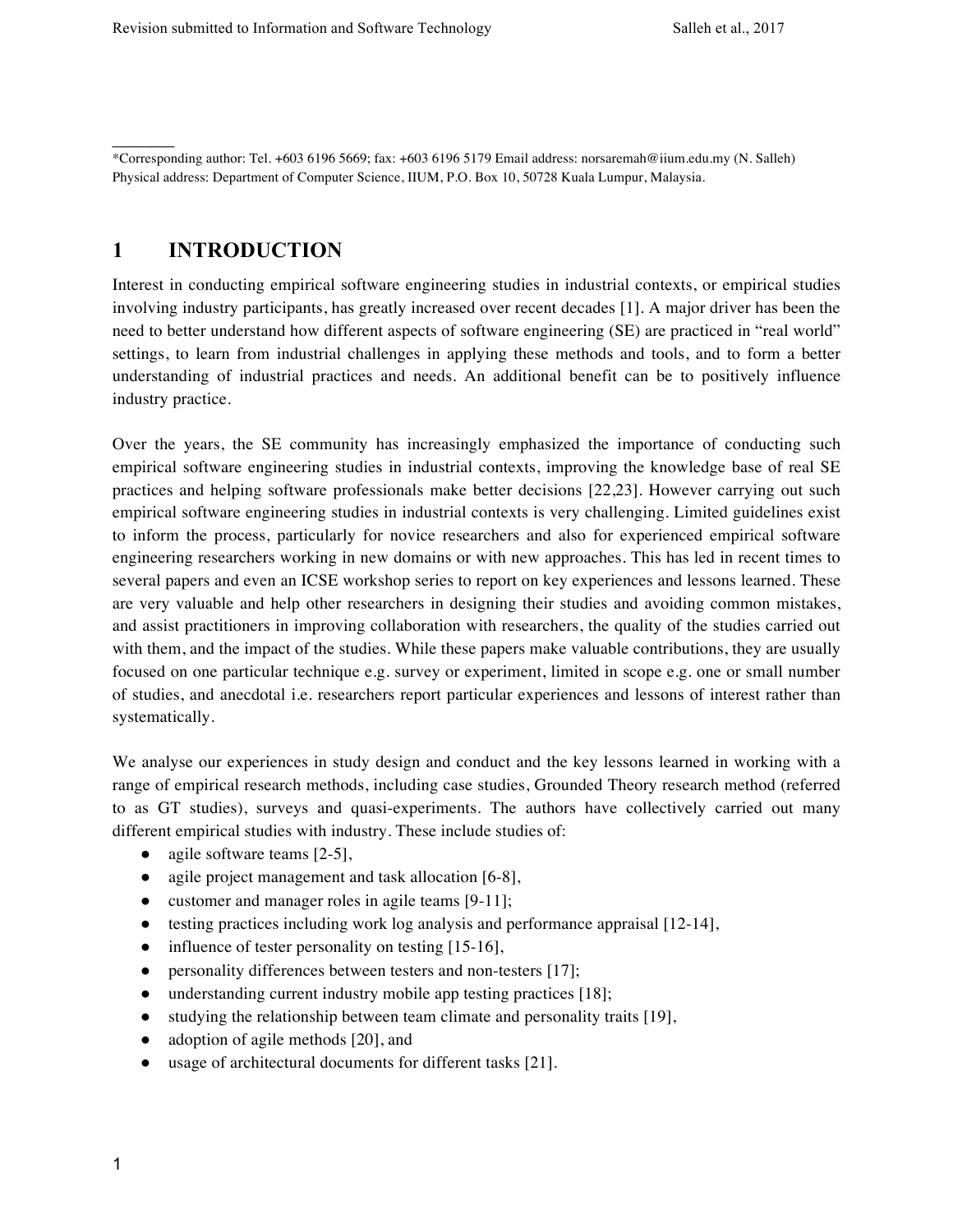\*Corresponding author: Tel. +603 6196 5669; fax: +603 6196 5179 Email address: norsaremah@iium.edu.my (N. Salleh) Physical address: Department of Computer Science, IIUM, P.O. Box 10, 50728 Kuala Lumpur, Malaysia.

# **1 INTRODUCTION**

 $\frac{1}{2}$ 

Interest in conducting empirical software engineering studies in industrial contexts, or empirical studies involving industry participants, has greatly increased over recent decades [1]. A major driver has been the need to better understand how different aspects of software engineering (SE) are practiced in "real world" settings, to learn from industrial challenges in applying these methods and tools, and to form a better understanding of industrial practices and needs. An additional benefit can be to positively influence industry practice.

Over the years, the SE community has increasingly emphasized the importance of conducting such empirical software engineering studies in industrial contexts, improving the knowledge base of real SE practices and helping software professionals make better decisions [22,23]. However carrying out such empirical software engineering studies in industrial contexts is very challenging. Limited guidelines exist to inform the process, particularly for novice researchers and also for experienced empirical software engineering researchers working in new domains or with new approaches. This has led in recent times to several papers and even an ICSE workshop series to report on key experiences and lessons learned. These are very valuable and help other researchers in designing their studies and avoiding common mistakes, and assist practitioners in improving collaboration with researchers, the quality of the studies carried out with them, and the impact of the studies. While these papers make valuable contributions, they are usually focused on one particular technique e.g. survey or experiment, limited in scope e.g. one or small number of studies, and anecdotal i.e. researchers report particular experiences and lessons of interest rather than systematically.

We analyse our experiences in study design and conduct and the key lessons learned in working with a range of empirical research methods, including case studies, Grounded Theory research method (referred to as GT studies), surveys and quasi-experiments. The authors have collectively carried out many different empirical studies with industry. These include studies of:

- agile software teams  $[2-5]$ ,
- agile project management and task allocation [6-8],
- customer and manager roles in agile teams [9-11];
- testing practices including work log analysis and performance appraisal [12-14],
- influence of tester personality on testing [15-16],
- personality differences between testers and non-testers [17];
- understanding current industry mobile app testing practices [18];
- studying the relationship between team climate and personality traits [19],
- adoption of agile methods [20], and
- usage of architectural documents for different tasks [21].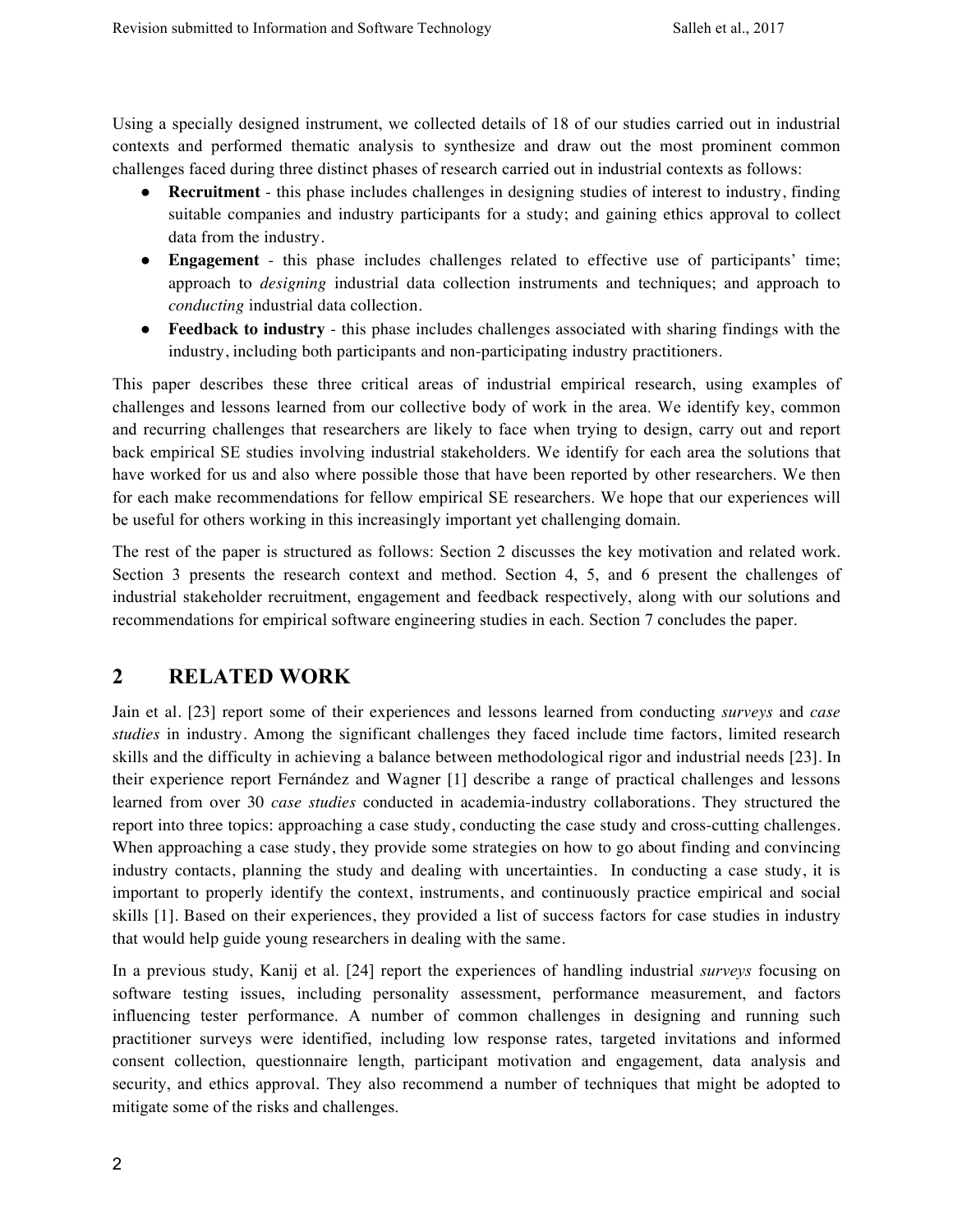Using a specially designed instrument, we collected details of 18 of our studies carried out in industrial contexts and performed thematic analysis to synthesize and draw out the most prominent common challenges faced during three distinct phases of research carried out in industrial contexts as follows:

- **Recruitment** this phase includes challenges in designing studies of interest to industry, finding suitable companies and industry participants for a study; and gaining ethics approval to collect data from the industry.
- **Engagement** this phase includes challenges related to effective use of participants' time; approach to *designing* industrial data collection instruments and techniques; and approach to *conducting* industrial data collection.
- **Feedback to industry**  this phase includes challenges associated with sharing findings with the industry, including both participants and non-participating industry practitioners.

This paper describes these three critical areas of industrial empirical research, using examples of challenges and lessons learned from our collective body of work in the area. We identify key, common and recurring challenges that researchers are likely to face when trying to design, carry out and report back empirical SE studies involving industrial stakeholders. We identify for each area the solutions that have worked for us and also where possible those that have been reported by other researchers. We then for each make recommendations for fellow empirical SE researchers. We hope that our experiences will be useful for others working in this increasingly important yet challenging domain.

The rest of the paper is structured as follows: Section 2 discusses the key motivation and related work. Section 3 presents the research context and method. Section 4, 5, and 6 present the challenges of industrial stakeholder recruitment, engagement and feedback respectively, along with our solutions and recommendations for empirical software engineering studies in each. Section 7 concludes the paper.

# **2 RELATED WORK**

Jain et al. [23] report some of their experiences and lessons learned from conducting *surveys* and *case studies* in industry. Among the significant challenges they faced include time factors, limited research skills and the difficulty in achieving a balance between methodological rigor and industrial needs [23]. In their experience report Fernández and Wagner [1] describe a range of practical challenges and lessons learned from over 30 *case studies* conducted in academia-industry collaborations. They structured the report into three topics: approaching a case study, conducting the case study and cross-cutting challenges. When approaching a case study, they provide some strategies on how to go about finding and convincing industry contacts, planning the study and dealing with uncertainties. In conducting a case study, it is important to properly identify the context, instruments, and continuously practice empirical and social skills [1]. Based on their experiences, they provided a list of success factors for case studies in industry that would help guide young researchers in dealing with the same.

In a previous study, Kanij et al. [24] report the experiences of handling industrial *surveys* focusing on software testing issues, including personality assessment, performance measurement, and factors influencing tester performance. A number of common challenges in designing and running such practitioner surveys were identified, including low response rates, targeted invitations and informed consent collection, questionnaire length, participant motivation and engagement, data analysis and security, and ethics approval. They also recommend a number of techniques that might be adopted to mitigate some of the risks and challenges.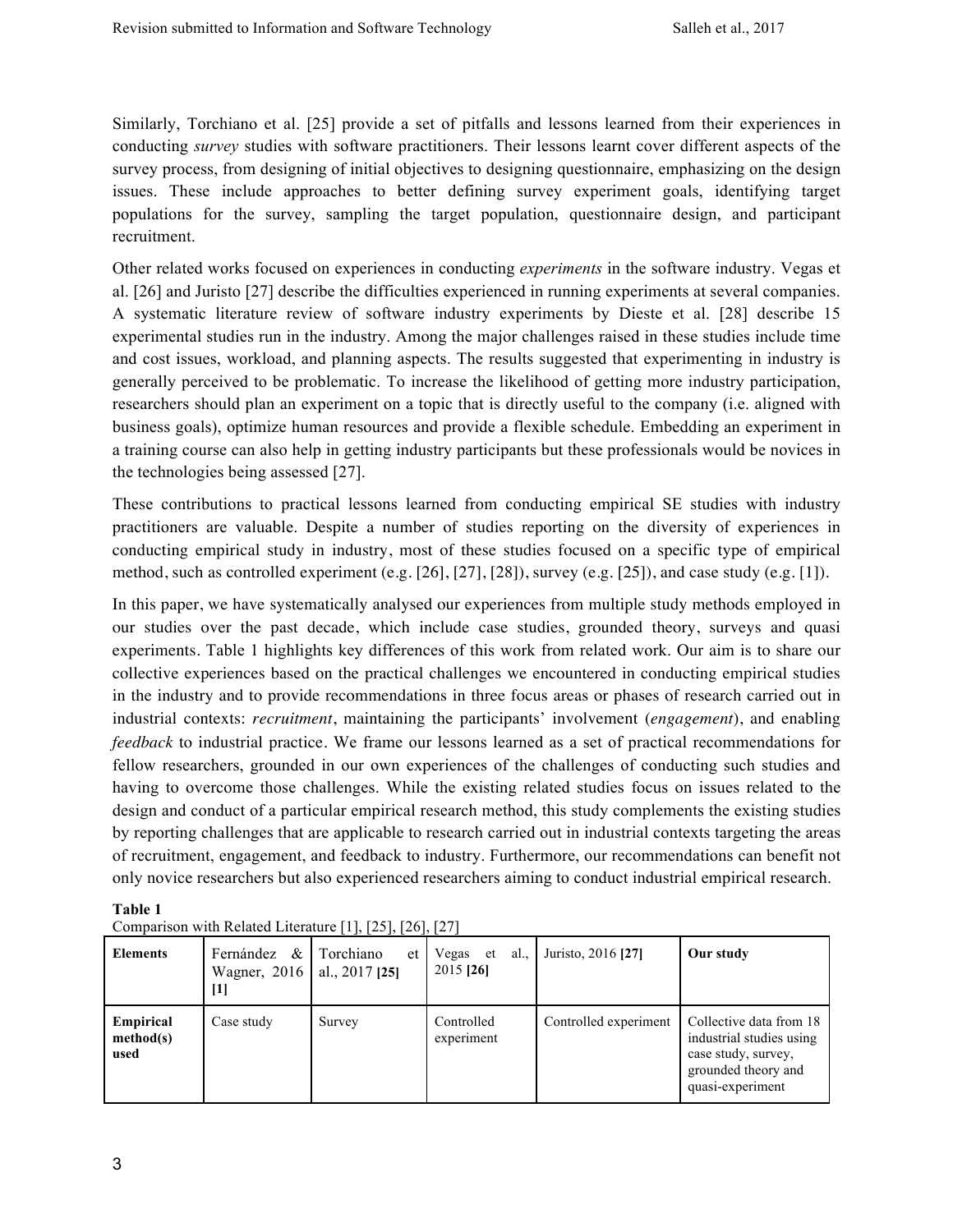Similarly, Torchiano et al. [25] provide a set of pitfalls and lessons learned from their experiences in conducting *survey* studies with software practitioners. Their lessons learnt cover different aspects of the survey process, from designing of initial objectives to designing questionnaire, emphasizing on the design issues. These include approaches to better defining survey experiment goals, identifying target populations for the survey, sampling the target population, questionnaire design, and participant recruitment.

Other related works focused on experiences in conducting *experiments* in the software industry. Vegas et al. [26] and Juristo [27] describe the difficulties experienced in running experiments at several companies. A systematic literature review of software industry experiments by Dieste et al. [28] describe 15 experimental studies run in the industry. Among the major challenges raised in these studies include time and cost issues, workload, and planning aspects. The results suggested that experimenting in industry is generally perceived to be problematic. To increase the likelihood of getting more industry participation, researchers should plan an experiment on a topic that is directly useful to the company (i.e. aligned with business goals), optimize human resources and provide a flexible schedule. Embedding an experiment in a training course can also help in getting industry participants but these professionals would be novices in the technologies being assessed [27].

These contributions to practical lessons learned from conducting empirical SE studies with industry practitioners are valuable. Despite a number of studies reporting on the diversity of experiences in conducting empirical study in industry, most of these studies focused on a specific type of empirical method, such as controlled experiment (e.g. [26], [27], [28]), survey (e.g. [25]), and case study (e.g. [1]).

In this paper, we have systematically analysed our experiences from multiple study methods employed in our studies over the past decade, which include case studies, grounded theory, surveys and quasi experiments. Table 1 highlights key differences of this work from related work. Our aim is to share our collective experiences based on the practical challenges we encountered in conducting empirical studies in the industry and to provide recommendations in three focus areas or phases of research carried out in industrial contexts: *recruitment*, maintaining the participants' involvement (*engagement*), and enabling *feedback* to industrial practice. We frame our lessons learned as a set of practical recommendations for fellow researchers, grounded in our own experiences of the challenges of conducting such studies and having to overcome those challenges. While the existing related studies focus on issues related to the design and conduct of a particular empirical research method, this study complements the existing studies by reporting challenges that are applicable to research carried out in industrial contexts targeting the areas of recruitment, engagement, and feedback to industry. Furthermore, our recommendations can benefit not only novice researchers but also experienced researchers aiming to conduct industrial empirical research.

| <b>Elements</b>                | Fernández<br>&<br>Wagner, $2016$<br>[1] | Torchiano<br>et<br>al., $2017$ [25] | al.<br>Vegas<br>et<br>2015 [26] | Juristo, 2016 [27]    | Our study                                                                                                             |
|--------------------------------|-----------------------------------------|-------------------------------------|---------------------------------|-----------------------|-----------------------------------------------------------------------------------------------------------------------|
| Empirical<br>method(s)<br>used | Case study                              | Survey                              | Controlled<br>experiment        | Controlled experiment | Collective data from 18<br>industrial studies using<br>case study, survey,<br>grounded theory and<br>quasi-experiment |

**Table 1** Comparison with Related Literature [1], [25], [26], [27]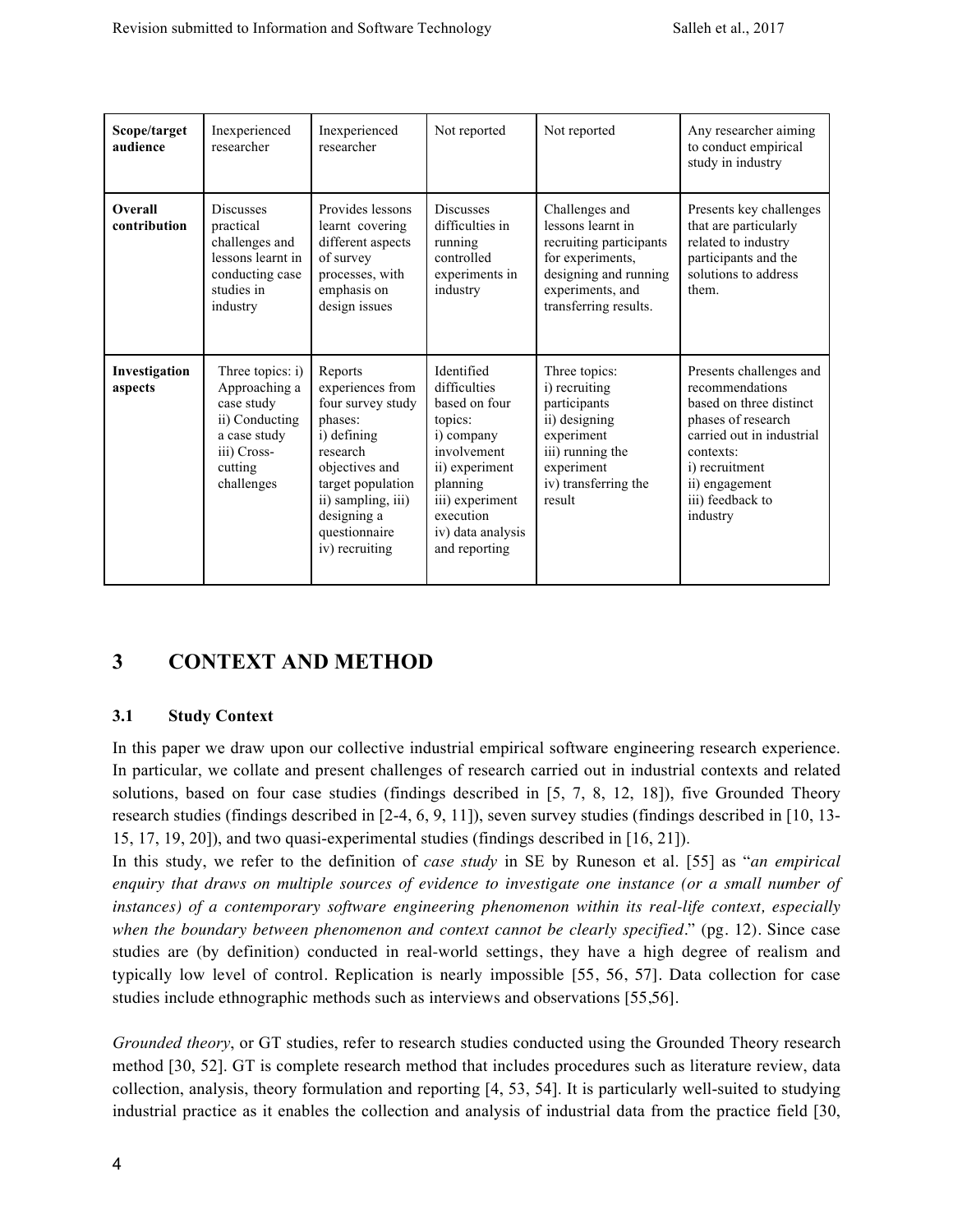| Scope/target<br>audience                                                                                                                                                                                                                                                                                                                                       | Inexperienced<br>researcher                                                                                       | Inexperienced<br>researcher                                                                                                                                                             | Not reported                                                                                                                                      | Not reported                                                                                                                                                                                              | Any researcher aiming<br>to conduct empirical<br>study in industry                                                              |
|----------------------------------------------------------------------------------------------------------------------------------------------------------------------------------------------------------------------------------------------------------------------------------------------------------------------------------------------------------------|-------------------------------------------------------------------------------------------------------------------|-----------------------------------------------------------------------------------------------------------------------------------------------------------------------------------------|---------------------------------------------------------------------------------------------------------------------------------------------------|-----------------------------------------------------------------------------------------------------------------------------------------------------------------------------------------------------------|---------------------------------------------------------------------------------------------------------------------------------|
| Overall<br>contribution                                                                                                                                                                                                                                                                                                                                        | <b>Discusses</b><br>practical<br>challenges and<br>lessons learnt in<br>conducting case<br>studies in<br>industry | Provides lessons<br>learnt covering<br>different aspects<br>of survey<br>processes, with<br>emphasis on<br>design issues                                                                | <b>Discusses</b><br>difficulties in<br>running<br>controlled<br>experiments in<br>industry                                                        | Challenges and<br>lessons learnt in<br>recruiting participants<br>for experiments,<br>designing and running<br>experiments, and<br>transferring results.                                                  | Presents key challenges<br>that are particularly<br>related to industry<br>participants and the<br>solutions to address<br>them |
| Investigation<br>Three topics: i)<br>Reports<br>experiences from<br>Approaching a<br>aspects<br>four survey study<br>case study<br>ii) Conducting<br>phases:<br>i) defining<br>a case study<br>iii) Cross-<br>research<br>objectives and<br>cutting<br>target population<br>challenges<br>ii) sampling, iii)<br>designing a<br>questionnaire<br>iv) recruiting |                                                                                                                   | Identified<br>difficulties<br>based on four<br>topics:<br>i) company<br>involvement<br>ii) experiment<br>planning<br>iii) experiment<br>execution<br>iv) data analysis<br>and reporting | Three topics:<br>i) recruiting<br>participants<br>ii) designing<br>experiment<br>iii) running the<br>experiment<br>iv) transferring the<br>result | Presents challenges and<br>recommendations<br>based on three distinct<br>phases of research<br>carried out in industrial<br>contexts:<br>i) recruitment<br>ii) engagement<br>iii) feedback to<br>industry |                                                                                                                                 |

# **3 CONTEXT AND METHOD**

## **3.1 Study Context**

In this paper we draw upon our collective industrial empirical software engineering research experience. In particular, we collate and present challenges of research carried out in industrial contexts and related solutions, based on four case studies (findings described in [5, 7, 8, 12, 18]), five Grounded Theory research studies (findings described in [2-4, 6, 9, 11]), seven survey studies (findings described in [10, 13- 15, 17, 19, 20]), and two quasi-experimental studies (findings described in [16, 21]).

In this study, we refer to the definition of *case study* in SE by Runeson et al. [55] as "*an empirical enquiry that draws on multiple sources of evidence to investigate one instance (or a small number of instances) of a contemporary software engineering phenomenon within its real-life context, especially when the boundary between phenomenon and context cannot be clearly specified.*" (pg. 12). Since case studies are (by definition) conducted in real-world settings, they have a high degree of realism and typically low level of control. Replication is nearly impossible [55, 56, 57]. Data collection for case studies include ethnographic methods such as interviews and observations [55,56].

*Grounded theory*, or GT studies, refer to research studies conducted using the Grounded Theory research method [30, 52]. GT is complete research method that includes procedures such as literature review, data collection, analysis, theory formulation and reporting [4, 53, 54]. It is particularly well-suited to studying industrial practice as it enables the collection and analysis of industrial data from the practice field [30,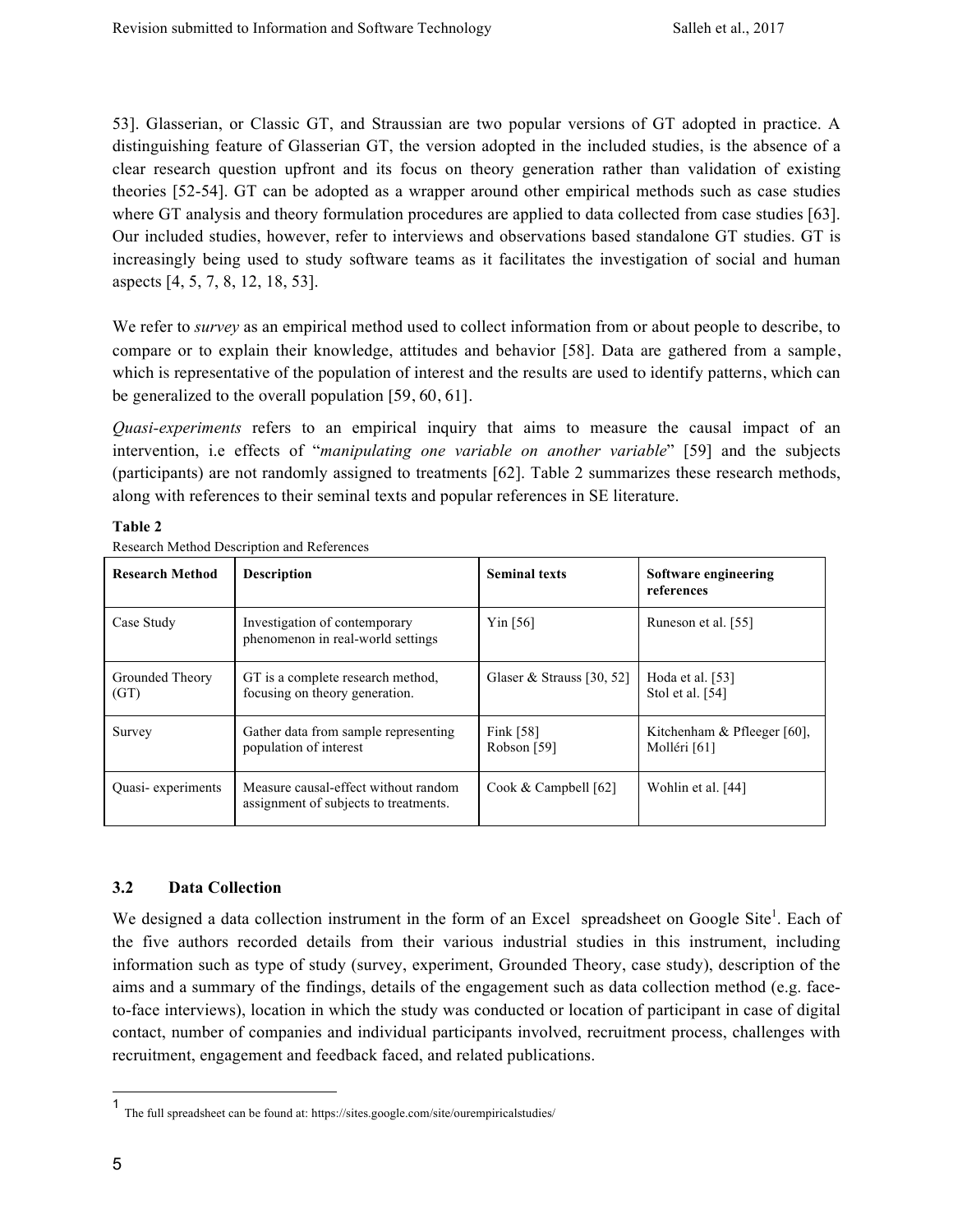53]. Glasserian, or Classic GT, and Straussian are two popular versions of GT adopted in practice. A distinguishing feature of Glasserian GT, the version adopted in the included studies, is the absence of a clear research question upfront and its focus on theory generation rather than validation of existing theories [52-54]. GT can be adopted as a wrapper around other empirical methods such as case studies where GT analysis and theory formulation procedures are applied to data collected from case studies [63]. Our included studies, however, refer to interviews and observations based standalone GT studies. GT is increasingly being used to study software teams as it facilitates the investigation of social and human aspects [4, 5, 7, 8, 12, 18, 53].

We refer to *survey* as an empirical method used to collect information from or about people to describe, to compare or to explain their knowledge, attitudes and behavior [58]. Data are gathered from a sample, which is representative of the population of interest and the results are used to identify patterns, which can be generalized to the overall population [59, 60, 61].

*Quasi-experiments* refers to an empirical inquiry that aims to measure the causal impact of an intervention, i.e effects of "*manipulating one variable on another variable*" [59] and the subjects (participants) are not randomly assigned to treatments [62]. Table 2 summarizes these research methods, along with references to their seminal texts and popular references in SE literature.

#### **Table 2**

| <b>Research Method</b>  | <b>Description</b>                                                            | <b>Seminal texts</b>       | Software engineering<br>references            |
|-------------------------|-------------------------------------------------------------------------------|----------------------------|-----------------------------------------------|
| Case Study              | Investigation of contemporary<br>phenomenon in real-world settings            | $Y$ in [56]                | Runeson et al. [55]                           |
| Grounded Theory<br>(GT) | GT is a complete research method,<br>focusing on theory generation.           | Glaser & Strauss [30, 52]  | Hoda et al. [53]<br>Stol et al. [54]          |
| Survey                  | Gather data from sample representing<br>population of interest                | Fink $[58]$<br>Robson [59] | Kitchenham $&$ Pfleeger [60],<br>Molléri [61] |
| Quasi-experiments       | Measure causal-effect without random<br>assignment of subjects to treatments. | Cook & Campbell $[62]$     | Wohlin et al. [44]                            |

Research Method Description and References

## **3.2 Data Collection**

We designed a data collection instrument in the form of an Excel spreadsheet on Google Site<sup>1</sup>. Each of the five authors recorded details from their various industrial studies in this instrument, including information such as type of study (survey, experiment, Grounded Theory, case study), description of the aims and a summary of the findings, details of the engagement such as data collection method (e.g. faceto-face interviews), location in which the study was conducted or location of participant in case of digital contact, number of companies and individual participants involved, recruitment process, challenges with recruitment, engagement and feedback faced, and related publications.

 <sup>1</sup> The full spreadsheet can be found at: https://sites.google.com/site/ourempiricalstudies/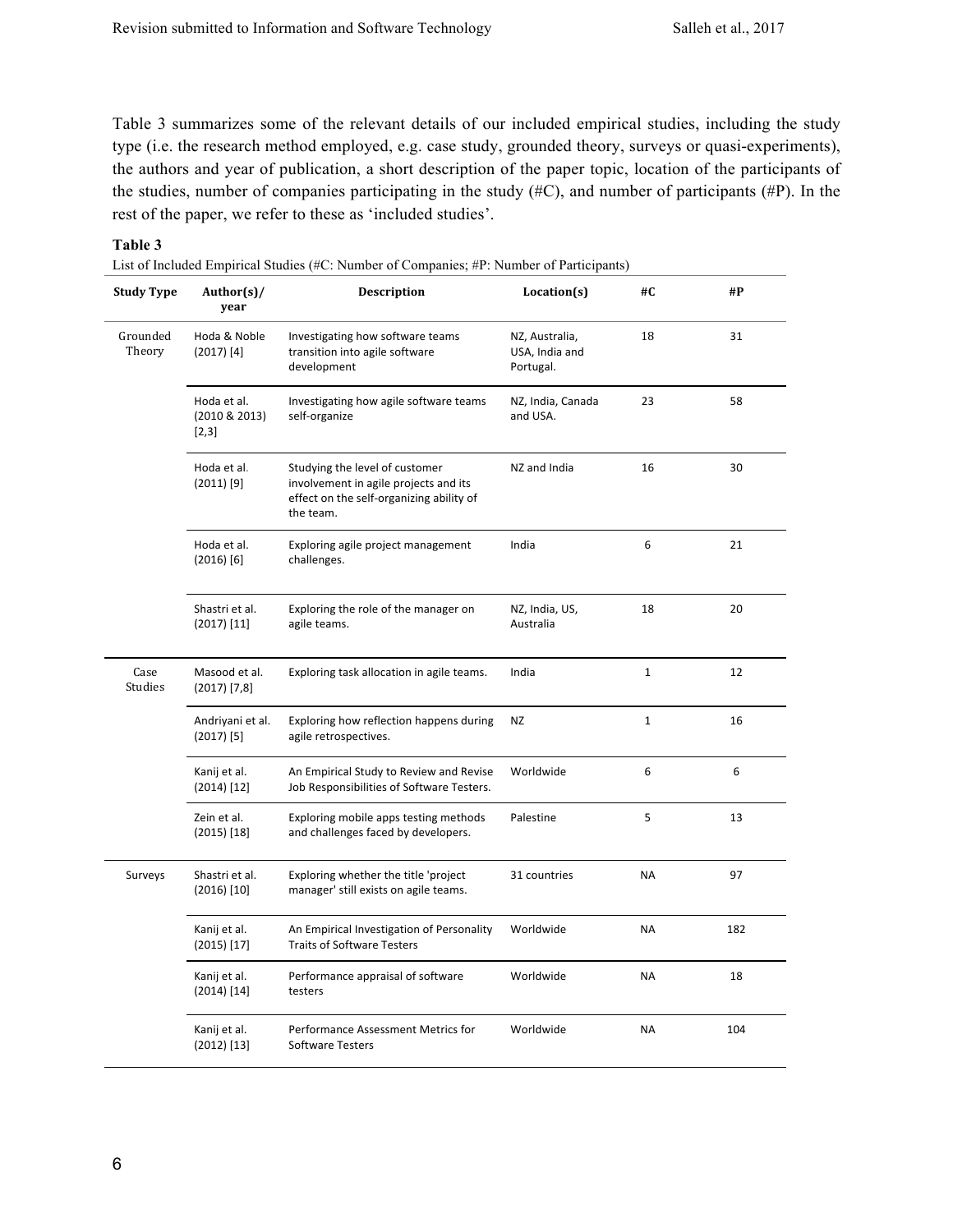Table 3 summarizes some of the relevant details of our included empirical studies, including the study type (i.e. the research method employed, e.g. case study, grounded theory, surveys or quasi-experiments), the authors and year of publication, a short description of the paper topic, location of the participants of the studies, number of companies participating in the study  $(\#C)$ , and number of participants  $(\#P)$ . In the rest of the paper, we refer to these as 'included studies'.

#### **Table 3**

List of Included Empirical Studies (#C: Number of Companies; #P: Number of Participants)

| <b>Study Type</b>  | Author(s)/<br>year                    | <b>Description</b>                                                                                                               | Location(s)                                   | #C           | #P  |
|--------------------|---------------------------------------|----------------------------------------------------------------------------------------------------------------------------------|-----------------------------------------------|--------------|-----|
| Grounded<br>Theory | Hoda & Noble<br>$(2017)$ [4]          | Investigating how software teams<br>transition into agile software<br>development                                                | NZ, Australia,<br>USA, India and<br>Portugal. | 18           | 31  |
|                    | Hoda et al.<br>(2010 & 2013)<br>[2,3] | Investigating how agile software teams<br>self-organize                                                                          | NZ, India, Canada<br>and USA.                 | 23           | 58  |
|                    | Hoda et al.<br>$(2011)$ [9]           | Studying the level of customer<br>involvement in agile projects and its<br>effect on the self-organizing ability of<br>the team. | NZ and India                                  | 16           | 30  |
|                    | Hoda et al.<br>$(2016)$ [6]           | Exploring agile project management<br>challenges.                                                                                | India                                         | 6            | 21  |
|                    | Shastri et al.<br>$(2017)$ [11]       | Exploring the role of the manager on<br>agile teams.                                                                             | NZ, India, US,<br>Australia                   | 18           | 20  |
| Case<br>Studies    | Masood et al.<br>$(2017)$ [7,8]       | Exploring task allocation in agile teams.                                                                                        | India                                         | $\mathbf{1}$ | 12  |
|                    | Andriyani et al.<br>$(2017)$ [5]      | Exploring how reflection happens during<br>agile retrospectives.                                                                 | ΝZ                                            | $\mathbf{1}$ | 16  |
|                    | Kanij et al.<br>$(2014)$ [12]         | An Empirical Study to Review and Revise<br>Job Responsibilities of Software Testers.                                             | Worldwide                                     | 6            | 6   |
|                    | Zein et al.<br>$(2015)$ [18]          | Exploring mobile apps testing methods<br>and challenges faced by developers.                                                     | Palestine                                     | 5            | 13  |
| Surveys            | Shastri et al.<br>$(2016)$ [10]       | Exploring whether the title 'project<br>manager' still exists on agile teams.                                                    | 31 countries                                  | <b>NA</b>    | 97  |
|                    | Kanij et al.<br>$(2015)$ [17]         | An Empirical Investigation of Personality<br><b>Traits of Software Testers</b>                                                   | Worldwide                                     | <b>NA</b>    | 182 |
|                    | Kanij et al.<br>$(2014)$ [14]         | Performance appraisal of software<br>testers                                                                                     | Worldwide                                     | <b>NA</b>    | 18  |
|                    | Kanij et al.<br>$(2012)$ [13]         | Performance Assessment Metrics for<br><b>Software Testers</b>                                                                    | Worldwide                                     | <b>NA</b>    | 104 |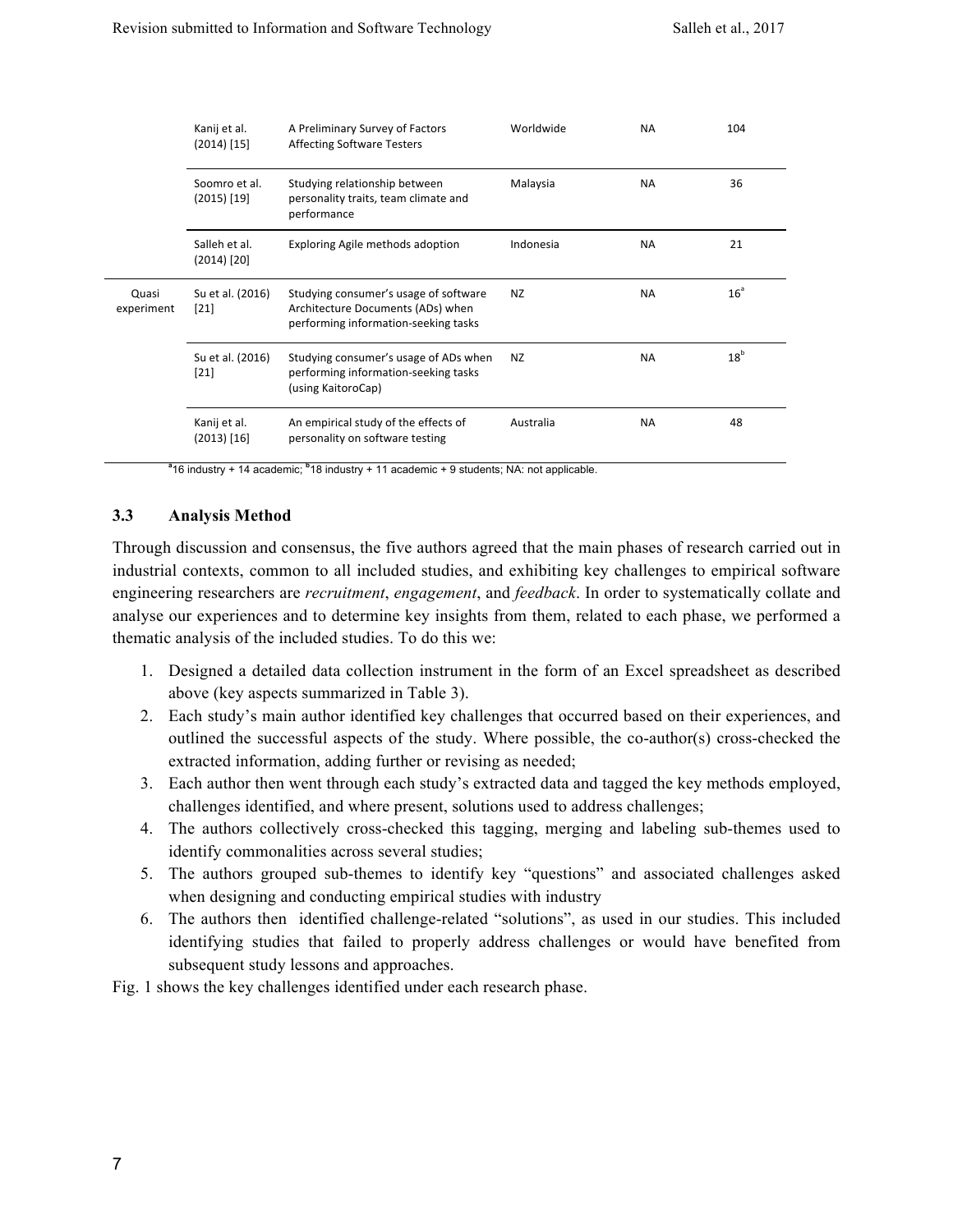|                     | Kanij et al.<br>$(2014)$ [15]  | A Preliminary Survey of Factors<br><b>Affecting Software Testers</b>                                               | Worldwide | <b>NA</b> | 104             |
|---------------------|--------------------------------|--------------------------------------------------------------------------------------------------------------------|-----------|-----------|-----------------|
|                     | Soomro et al.<br>$(2015)$ [19] | Studying relationship between<br>personality traits, team climate and<br>performance                               | Malaysia  | ΝA        | 36              |
|                     | Salleh et al.<br>$(2014)$ [20] | Exploring Agile methods adoption                                                                                   | Indonesia | <b>NA</b> | 21              |
| Quasi<br>experiment | Su et al. (2016)<br>$[21]$     | Studying consumer's usage of software<br>Architecture Documents (ADs) when<br>performing information-seeking tasks | NZ        | <b>NA</b> | 16 <sup>a</sup> |
|                     | Su et al. (2016)<br>$[21]$     | Studying consumer's usage of ADs when<br>performing information-seeking tasks<br>(using KaitoroCap)                | NZ        | <b>NA</b> | 18 <sup>b</sup> |
|                     | Kanij et al.<br>$(2013)$ [16]  | An empirical study of the effects of<br>personality on software testing                                            | Australia | <b>NA</b> | 48              |

<sup>a</sup> 16 industry + 14 academic; <sup>b</sup> 18 industry + 11 academic + 9 students; NA: not applicable.

#### **3.3 Analysis Method**

Through discussion and consensus, the five authors agreed that the main phases of research carried out in industrial contexts, common to all included studies, and exhibiting key challenges to empirical software engineering researchers are *recruitment*, *engagement*, and *feedback*. In order to systematically collate and analyse our experiences and to determine key insights from them, related to each phase, we performed a thematic analysis of the included studies. To do this we:

- 1. Designed a detailed data collection instrument in the form of an Excel spreadsheet as described above (key aspects summarized in Table 3).
- 2. Each study's main author identified key challenges that occurred based on their experiences, and outlined the successful aspects of the study. Where possible, the co-author(s) cross-checked the extracted information, adding further or revising as needed;
- 3. Each author then went through each study's extracted data and tagged the key methods employed, challenges identified, and where present, solutions used to address challenges;
- 4. The authors collectively cross-checked this tagging, merging and labeling sub-themes used to identify commonalities across several studies;
- 5. The authors grouped sub-themes to identify key "questions" and associated challenges asked when designing and conducting empirical studies with industry
- 6. The authors then identified challenge-related "solutions", as used in our studies. This included identifying studies that failed to properly address challenges or would have benefited from subsequent study lessons and approaches.

Fig. 1 shows the key challenges identified under each research phase.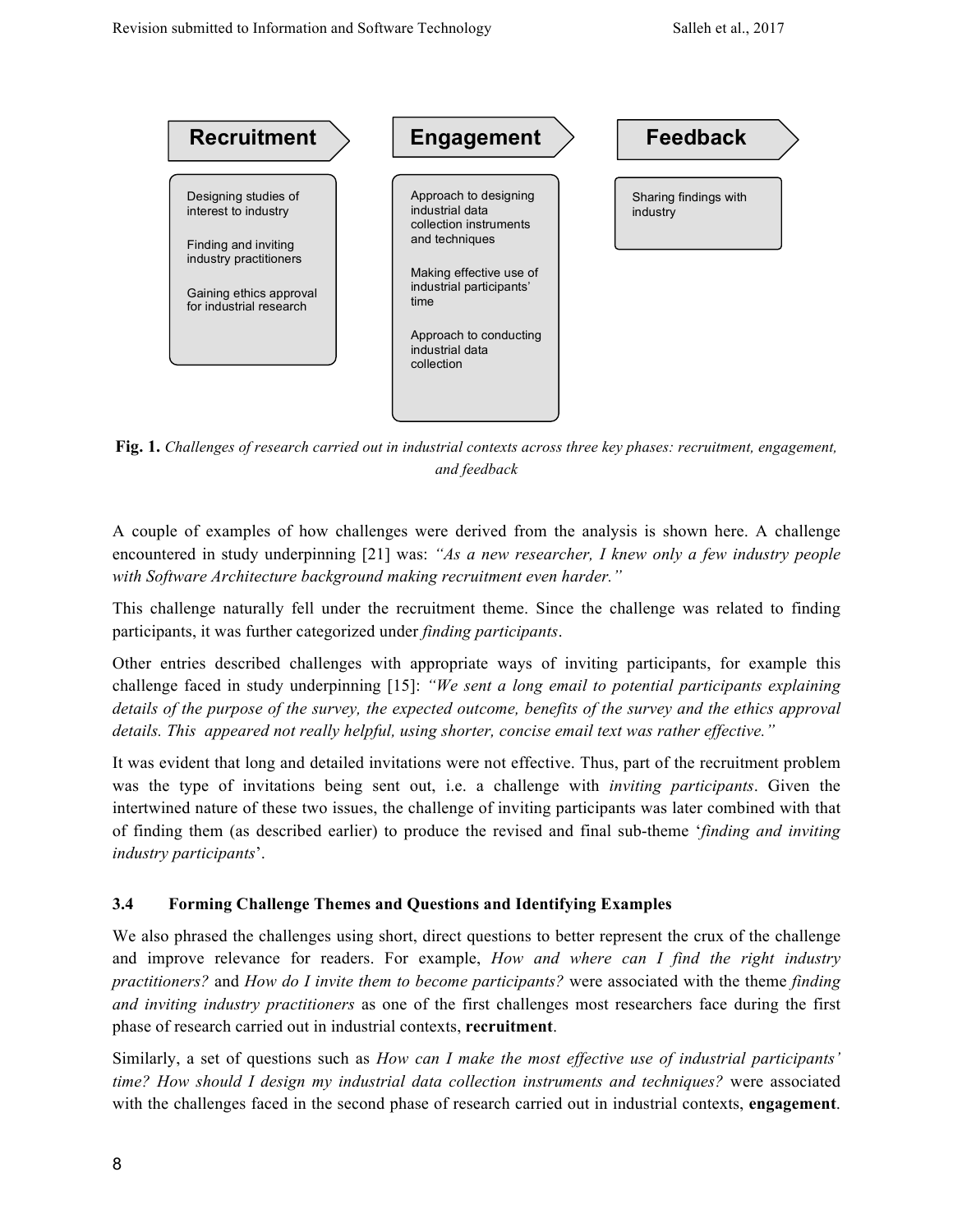

**Fig. 1.** *Challenges of research carried out in industrial contexts across three key phases: recruitment, engagement, and feedback*

A couple of examples of how challenges were derived from the analysis is shown here. A challenge encountered in study underpinning [21] was: *"As a new researcher, I knew only a few industry people with Software Architecture background making recruitment even harder."* 

This challenge naturally fell under the recruitment theme. Since the challenge was related to finding participants, it was further categorized under *finding participants*.

Other entries described challenges with appropriate ways of inviting participants, for example this challenge faced in study underpinning [15]: *"We sent a long email to potential participants explaining details of the purpose of the survey, the expected outcome, benefits of the survey and the ethics approval details. This appeared not really helpful, using shorter, concise email text was rather effective."* 

It was evident that long and detailed invitations were not effective. Thus, part of the recruitment problem was the type of invitations being sent out, i.e. a challenge with *inviting participants*. Given the intertwined nature of these two issues, the challenge of inviting participants was later combined with that of finding them (as described earlier) to produce the revised and final sub-theme '*finding and inviting industry participants*'.

## **3.4 Forming Challenge Themes and Questions and Identifying Examples**

We also phrased the challenges using short, direct questions to better represent the crux of the challenge and improve relevance for readers. For example, *How and where can I find the right industry practitioners?* and *How do I invite them to become participants?* were associated with the theme *finding and inviting industry practitioners* as one of the first challenges most researchers face during the first phase of research carried out in industrial contexts, **recruitment**.

Similarly, a set of questions such as *How can I make the most effective use of industrial participants' time? How should I design my industrial data collection instruments and techniques?* were associated with the challenges faced in the second phase of research carried out in industrial contexts, **engagement**.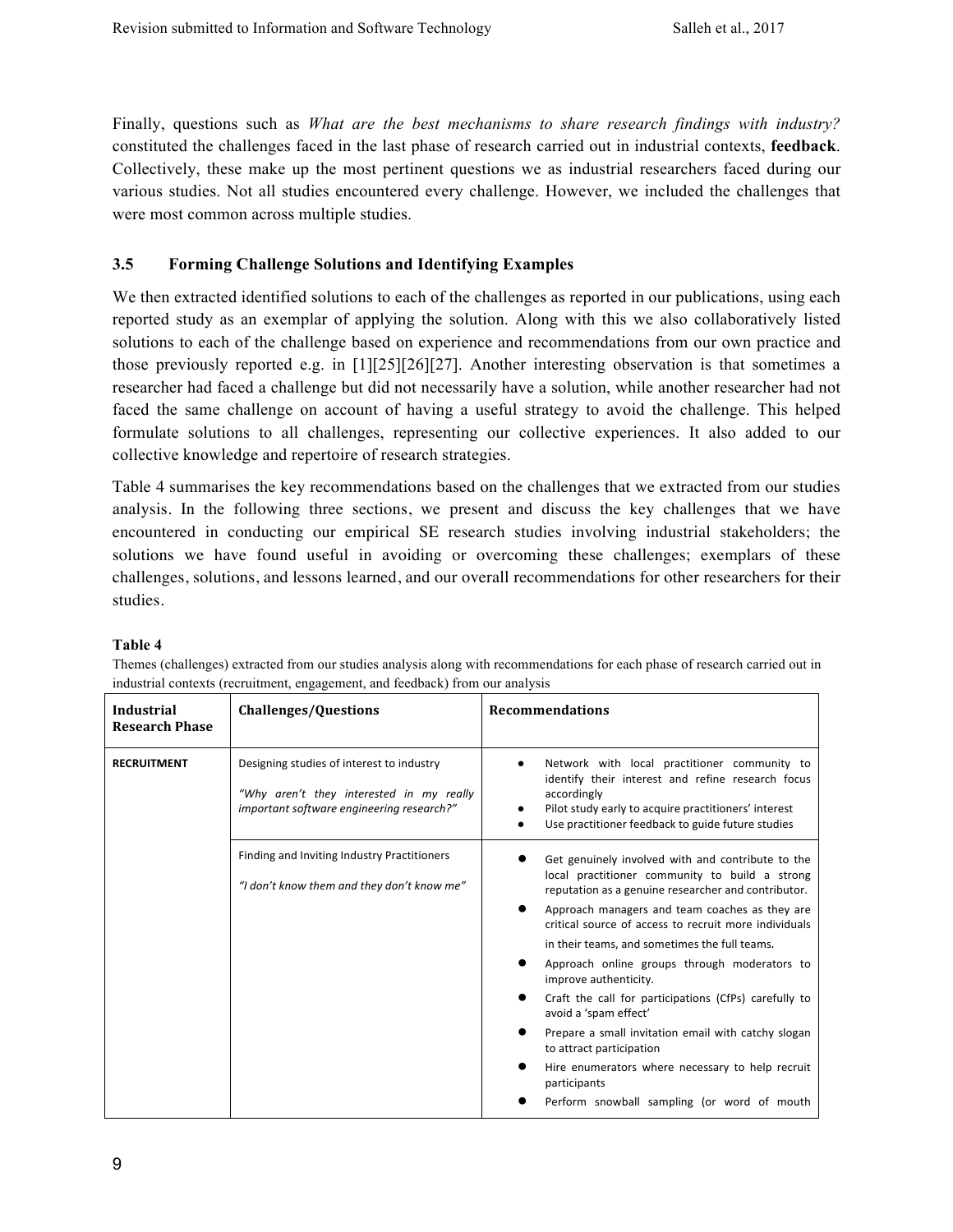Finally, questions such as *What are the best mechanisms to share research findings with industry?* constituted the challenges faced in the last phase of research carried out in industrial contexts, **feedback**. Collectively, these make up the most pertinent questions we as industrial researchers faced during our various studies. Not all studies encountered every challenge. However, we included the challenges that were most common across multiple studies.

#### **3.5 Forming Challenge Solutions and Identifying Examples**

We then extracted identified solutions to each of the challenges as reported in our publications, using each reported study as an exemplar of applying the solution. Along with this we also collaboratively listed solutions to each of the challenge based on experience and recommendations from our own practice and those previously reported e.g. in [1][25][26][27]. Another interesting observation is that sometimes a researcher had faced a challenge but did not necessarily have a solution, while another researcher had not faced the same challenge on account of having a useful strategy to avoid the challenge. This helped formulate solutions to all challenges, representing our collective experiences. It also added to our collective knowledge and repertoire of research strategies.

Table 4 summarises the key recommendations based on the challenges that we extracted from our studies analysis. In the following three sections, we present and discuss the key challenges that we have encountered in conducting our empirical SE research studies involving industrial stakeholders; the solutions we have found useful in avoiding or overcoming these challenges; exemplars of these challenges, solutions, and lessons learned, and our overall recommendations for other researchers for their studies.

#### **Table 4**

Themes (challenges) extracted from our studies analysis along with recommendations for each phase of research carried out in industrial contexts (recruitment, engagement, and feedback) from our analysis

| Industrial<br><b>Research Phase</b> | <b>Challenges/Questions</b>                                                                                                        | <b>Recommendations</b>                                                                                                                                                                                                                                                                                                                                                                                                                                                                                                                                                                                                                                                                  |  |  |  |
|-------------------------------------|------------------------------------------------------------------------------------------------------------------------------------|-----------------------------------------------------------------------------------------------------------------------------------------------------------------------------------------------------------------------------------------------------------------------------------------------------------------------------------------------------------------------------------------------------------------------------------------------------------------------------------------------------------------------------------------------------------------------------------------------------------------------------------------------------------------------------------------|--|--|--|
| <b>RECRUITMENT</b>                  | Designing studies of interest to industry<br>"Why aren't they interested in my really<br>important software engineering research?" | Network with local practitioner community to<br>identify their interest and refine research focus<br>accordingly<br>Pilot study early to acquire practitioners' interest<br>Use practitioner feedback to guide future studies                                                                                                                                                                                                                                                                                                                                                                                                                                                           |  |  |  |
|                                     | Finding and Inviting Industry Practitioners<br>"I don't know them and they don't know me"                                          | Get genuinely involved with and contribute to the<br>local practitioner community to build a strong<br>reputation as a genuine researcher and contributor.<br>Approach managers and team coaches as they are<br>critical source of access to recruit more individuals<br>in their teams, and sometimes the full teams.<br>Approach online groups through moderators to<br>improve authenticity.<br>Craft the call for participations (CfPs) carefully to<br>avoid a 'spam effect'<br>Prepare a small invitation email with catchy slogan<br>to attract participation<br>Hire enumerators where necessary to help recruit<br>participants<br>Perform snowball sampling (or word of mouth |  |  |  |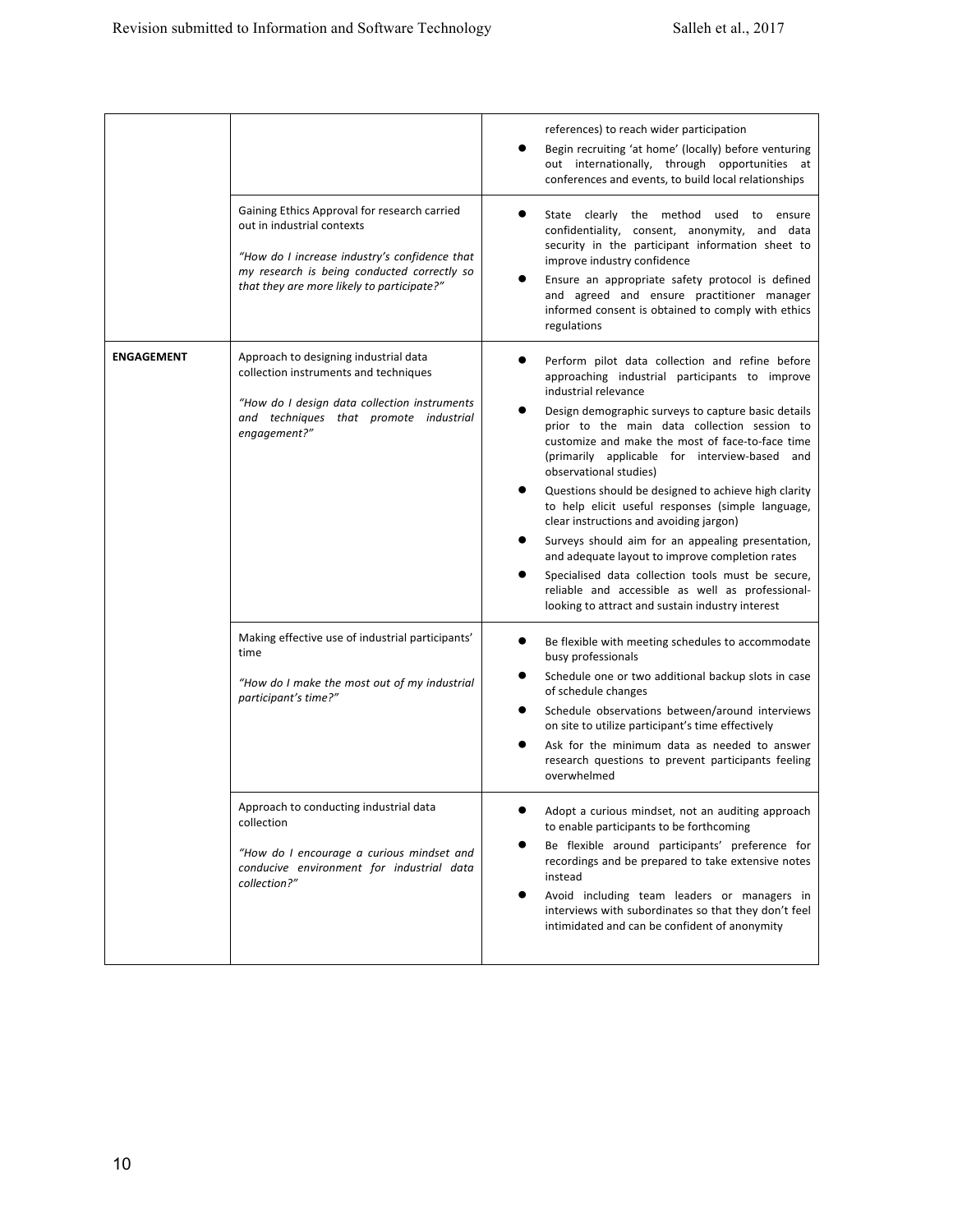|                   |                                                                                                                                                                                                                          | references) to reach wider participation<br>Begin recruiting 'at home' (locally) before venturing<br>out internationally, through opportunities at<br>conferences and events, to build local relationships                                                                                                                                                                                                                                                                                                                                                                                                                                                                                                                                                                                   |
|-------------------|--------------------------------------------------------------------------------------------------------------------------------------------------------------------------------------------------------------------------|----------------------------------------------------------------------------------------------------------------------------------------------------------------------------------------------------------------------------------------------------------------------------------------------------------------------------------------------------------------------------------------------------------------------------------------------------------------------------------------------------------------------------------------------------------------------------------------------------------------------------------------------------------------------------------------------------------------------------------------------------------------------------------------------|
|                   | Gaining Ethics Approval for research carried<br>out in industrial contexts<br>"How do I increase industry's confidence that<br>my research is being conducted correctly so<br>that they are more likely to participate?" | $\bullet$<br>State clearly the method used to ensure<br>confidentiality, consent, anonymity, and data<br>security in the participant information sheet to<br>improve industry confidence<br>Ensure an appropriate safety protocol is defined<br>and agreed and ensure practitioner manager<br>informed consent is obtained to comply with ethics<br>regulations                                                                                                                                                                                                                                                                                                                                                                                                                              |
| <b>ENGAGEMENT</b> | Approach to designing industrial data<br>collection instruments and techniques<br>"How do I design data collection instruments<br>and techniques that promote industrial<br>engagement?"                                 | Perform pilot data collection and refine before<br>approaching industrial participants to improve<br>industrial relevance<br>Design demographic surveys to capture basic details<br>prior to the main data collection session to<br>customize and make the most of face-to-face time<br>(primarily applicable for interview-based and<br>observational studies)<br>Questions should be designed to achieve high clarity<br>to help elicit useful responses (simple language,<br>clear instructions and avoiding jargon)<br>Surveys should aim for an appealing presentation,<br>and adequate layout to improve completion rates<br>Specialised data collection tools must be secure,<br>reliable and accessible as well as professional-<br>looking to attract and sustain industry interest |
|                   | Making effective use of industrial participants'<br>time<br>"How do I make the most out of my industrial<br>participant's time?"<br>Approach to conducting industrial data                                               | Be flexible with meeting schedules to accommodate<br>busy professionals<br>Schedule one or two additional backup slots in case<br>of schedule changes<br>Schedule observations between/around interviews<br>on site to utilize participant's time effectively<br>Ask for the minimum data as needed to answer<br>research questions to prevent participants feeling<br>overwhelmed<br>Adopt a curious mindset, not an auditing approach                                                                                                                                                                                                                                                                                                                                                      |
|                   | collection<br>"How do I encourage a curious mindset and<br>conducive environment for industrial data<br>collection?"                                                                                                     | to enable participants to be forthcoming<br>Be flexible around participants' preference for<br>recordings and be prepared to take extensive notes<br>instead<br>Avoid including team leaders or managers in<br>interviews with subordinates so that they don't feel<br>intimidated and can be confident of anonymity                                                                                                                                                                                                                                                                                                                                                                                                                                                                         |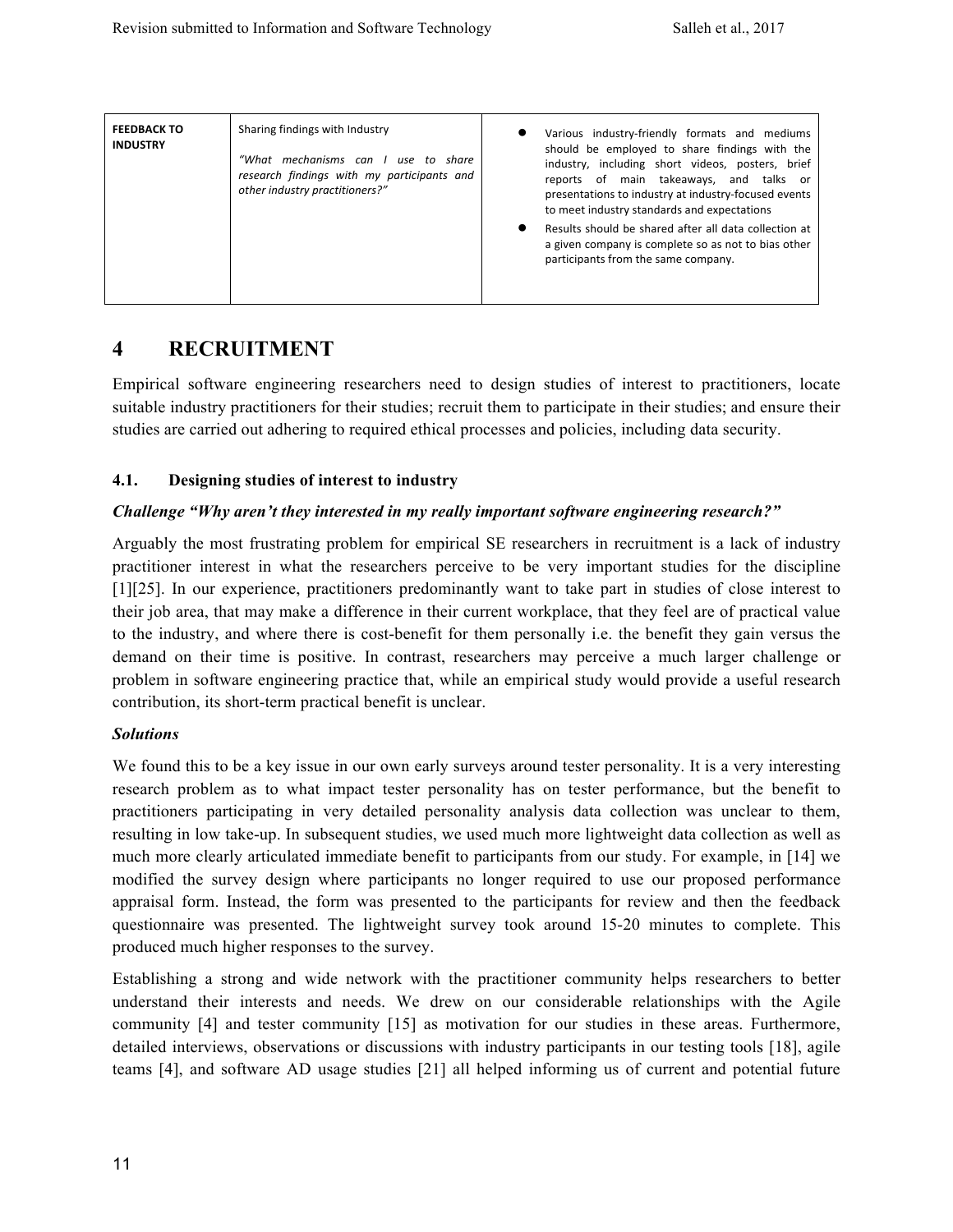| <b>FEEDBACK TO</b><br><b>INDUSTRY</b> | Sharing findings with Industry<br>"What mechanisms can I use to share<br>research findings with my participants and<br>other industry practitioners?" |  | Various industry-friendly formats and mediums<br>should be employed to share findings with the<br>industry, including short videos, posters, brief<br>reports of main takeaways, and talks or<br>presentations to industry at industry-focused events<br>to meet industry standards and expectations<br>Results should be shared after all data collection at<br>a given company is complete so as not to bias other<br>participants from the same company. |
|---------------------------------------|-------------------------------------------------------------------------------------------------------------------------------------------------------|--|-------------------------------------------------------------------------------------------------------------------------------------------------------------------------------------------------------------------------------------------------------------------------------------------------------------------------------------------------------------------------------------------------------------------------------------------------------------|
|---------------------------------------|-------------------------------------------------------------------------------------------------------------------------------------------------------|--|-------------------------------------------------------------------------------------------------------------------------------------------------------------------------------------------------------------------------------------------------------------------------------------------------------------------------------------------------------------------------------------------------------------------------------------------------------------|

# **4 RECRUITMENT**

Empirical software engineering researchers need to design studies of interest to practitioners, locate suitable industry practitioners for their studies; recruit them to participate in their studies; and ensure their studies are carried out adhering to required ethical processes and policies, including data security.

#### **4.1. Designing studies of interest to industry**

#### *Challenge "Why aren't they interested in my really important software engineering research?"*

Arguably the most frustrating problem for empirical SE researchers in recruitment is a lack of industry practitioner interest in what the researchers perceive to be very important studies for the discipline [1][25]. In our experience, practitioners predominantly want to take part in studies of close interest to their job area, that may make a difference in their current workplace, that they feel are of practical value to the industry, and where there is cost-benefit for them personally i.e. the benefit they gain versus the demand on their time is positive. In contrast, researchers may perceive a much larger challenge or problem in software engineering practice that, while an empirical study would provide a useful research contribution, its short-term practical benefit is unclear.

#### *Solutions*

We found this to be a key issue in our own early surveys around tester personality. It is a very interesting research problem as to what impact tester personality has on tester performance, but the benefit to practitioners participating in very detailed personality analysis data collection was unclear to them, resulting in low take-up. In subsequent studies, we used much more lightweight data collection as well as much more clearly articulated immediate benefit to participants from our study. For example, in [14] we modified the survey design where participants no longer required to use our proposed performance appraisal form. Instead, the form was presented to the participants for review and then the feedback questionnaire was presented. The lightweight survey took around 15-20 minutes to complete. This produced much higher responses to the survey.

Establishing a strong and wide network with the practitioner community helps researchers to better understand their interests and needs. We drew on our considerable relationships with the Agile community [4] and tester community [15] as motivation for our studies in these areas. Furthermore, detailed interviews, observations or discussions with industry participants in our testing tools [18], agile teams [4], and software AD usage studies [21] all helped informing us of current and potential future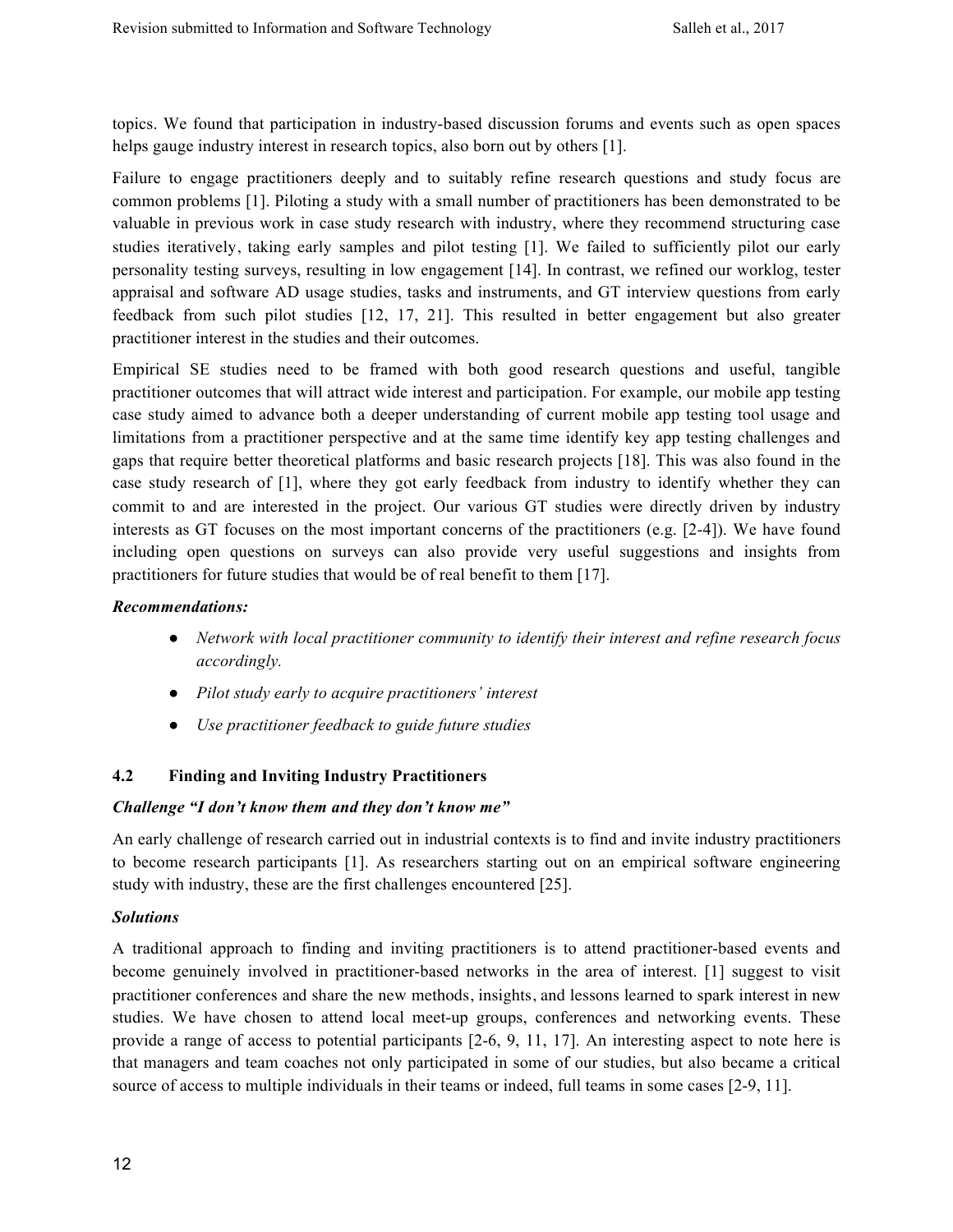topics. We found that participation in industry-based discussion forums and events such as open spaces helps gauge industry interest in research topics, also born out by others [1].

Failure to engage practitioners deeply and to suitably refine research questions and study focus are common problems [1]. Piloting a study with a small number of practitioners has been demonstrated to be valuable in previous work in case study research with industry, where they recommend structuring case studies iteratively, taking early samples and pilot testing [1]. We failed to sufficiently pilot our early personality testing surveys, resulting in low engagement [14]. In contrast, we refined our worklog, tester appraisal and software AD usage studies, tasks and instruments, and GT interview questions from early feedback from such pilot studies [12, 17, 21]. This resulted in better engagement but also greater practitioner interest in the studies and their outcomes.

Empirical SE studies need to be framed with both good research questions and useful, tangible practitioner outcomes that will attract wide interest and participation. For example, our mobile app testing case study aimed to advance both a deeper understanding of current mobile app testing tool usage and limitations from a practitioner perspective and at the same time identify key app testing challenges and gaps that require better theoretical platforms and basic research projects [18]. This was also found in the case study research of [1], where they got early feedback from industry to identify whether they can commit to and are interested in the project. Our various GT studies were directly driven by industry interests as GT focuses on the most important concerns of the practitioners (e.g. [2-4]). We have found including open questions on surveys can also provide very useful suggestions and insights from practitioners for future studies that would be of real benefit to them [17].

#### *Recommendations:*

- *Network with local practitioner community to identify their interest and refine research focus accordingly.*
- *Pilot study early to acquire practitioners' interest*
- *Use practitioner feedback to guide future studies*

## **4.2 Finding and Inviting Industry Practitioners**

#### *Challenge "I don't know them and they don't know me"*

An early challenge of research carried out in industrial contexts is to find and invite industry practitioners to become research participants [1]. As researchers starting out on an empirical software engineering study with industry, these are the first challenges encountered [25].

#### *Solutions*

A traditional approach to finding and inviting practitioners is to attend practitioner-based events and become genuinely involved in practitioner-based networks in the area of interest. [1] suggest to visit practitioner conferences and share the new methods, insights, and lessons learned to spark interest in new studies. We have chosen to attend local meet-up groups, conferences and networking events. These provide a range of access to potential participants [2-6, 9, 11, 17]. An interesting aspect to note here is that managers and team coaches not only participated in some of our studies, but also became a critical source of access to multiple individuals in their teams or indeed, full teams in some cases [2-9, 11].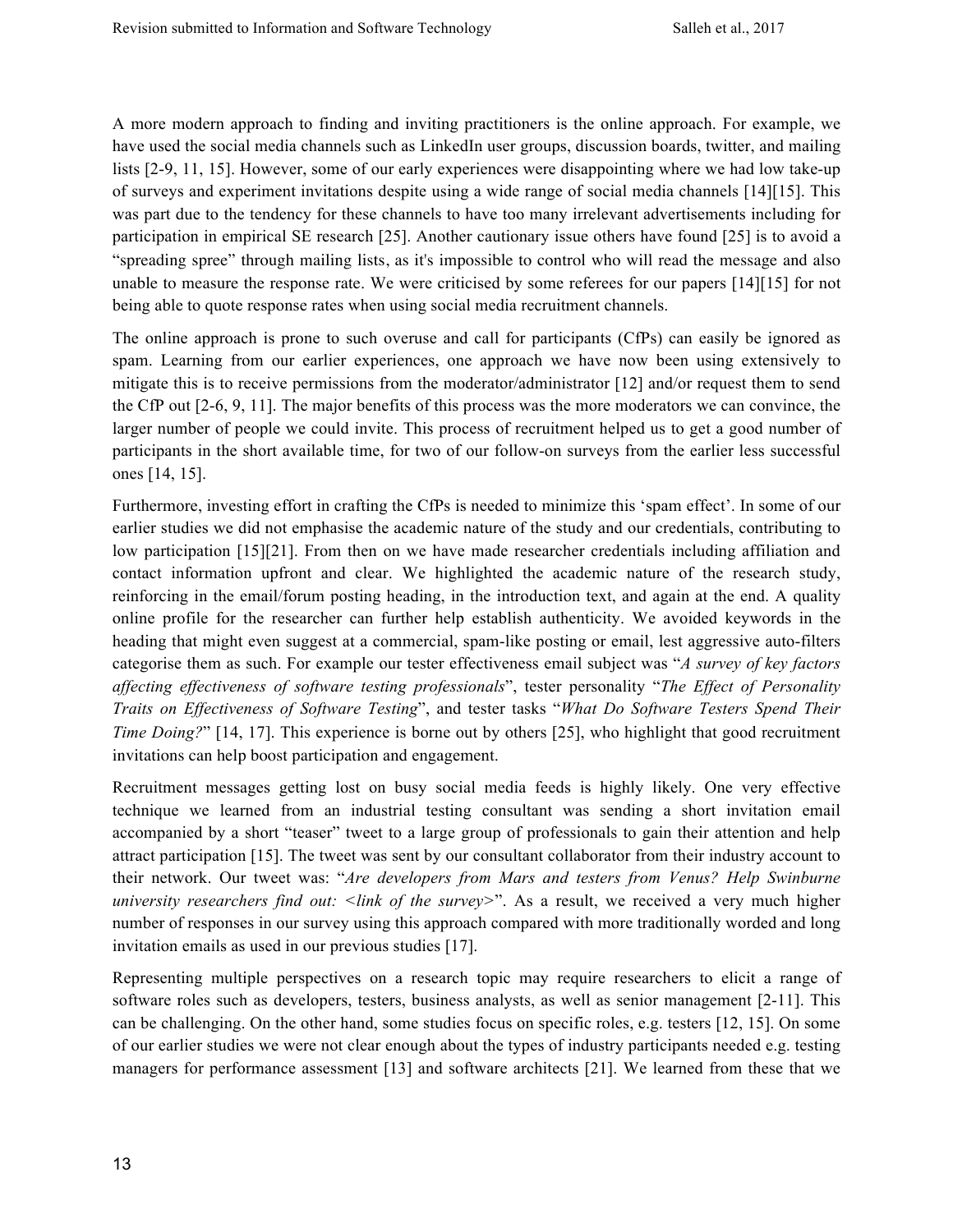A more modern approach to finding and inviting practitioners is the online approach. For example, we have used the social media channels such as LinkedIn user groups, discussion boards, twitter, and mailing lists [2-9, 11, 15]. However, some of our early experiences were disappointing where we had low take-up of surveys and experiment invitations despite using a wide range of social media channels [14][15]. This was part due to the tendency for these channels to have too many irrelevant advertisements including for participation in empirical SE research [25]. Another cautionary issue others have found [25] is to avoid a "spreading spree" through mailing lists, as it's impossible to control who will read the message and also unable to measure the response rate. We were criticised by some referees for our papers [14][15] for not being able to quote response rates when using social media recruitment channels.

The online approach is prone to such overuse and call for participants (CfPs) can easily be ignored as spam. Learning from our earlier experiences, one approach we have now been using extensively to mitigate this is to receive permissions from the moderator/administrator [12] and/or request them to send the CfP out [2-6, 9, 11]. The major benefits of this process was the more moderators we can convince, the larger number of people we could invite. This process of recruitment helped us to get a good number of participants in the short available time, for two of our follow-on surveys from the earlier less successful ones [14, 15].

Furthermore, investing effort in crafting the CfPs is needed to minimize this 'spam effect'. In some of our earlier studies we did not emphasise the academic nature of the study and our credentials, contributing to low participation [15][21]. From then on we have made researcher credentials including affiliation and contact information upfront and clear. We highlighted the academic nature of the research study, reinforcing in the email/forum posting heading, in the introduction text, and again at the end. A quality online profile for the researcher can further help establish authenticity. We avoided keywords in the heading that might even suggest at a commercial, spam-like posting or email, lest aggressive auto-filters categorise them as such. For example our tester effectiveness email subject was "*A survey of key factors affecting effectiveness of software testing professionals*", tester personality "*The Effect of Personality Traits on Effectiveness of Software Testing*", and tester tasks "*What Do Software Testers Spend Their Time Doing?*" [14, 17]. This experience is borne out by others [25], who highlight that good recruitment invitations can help boost participation and engagement.

Recruitment messages getting lost on busy social media feeds is highly likely. One very effective technique we learned from an industrial testing consultant was sending a short invitation email accompanied by a short "teaser" tweet to a large group of professionals to gain their attention and help attract participation [15]. The tweet was sent by our consultant collaborator from their industry account to their network. Our tweet was: "*Are developers from Mars and testers from Venus? Help Swinburne university researchers find out: <link of the survey>*". As a result, we received a very much higher number of responses in our survey using this approach compared with more traditionally worded and long invitation emails as used in our previous studies [17].

Representing multiple perspectives on a research topic may require researchers to elicit a range of software roles such as developers, testers, business analysts, as well as senior management [2-11]. This can be challenging. On the other hand, some studies focus on specific roles, e.g. testers [12, 15]. On some of our earlier studies we were not clear enough about the types of industry participants needed e.g. testing managers for performance assessment [13] and software architects [21]. We learned from these that we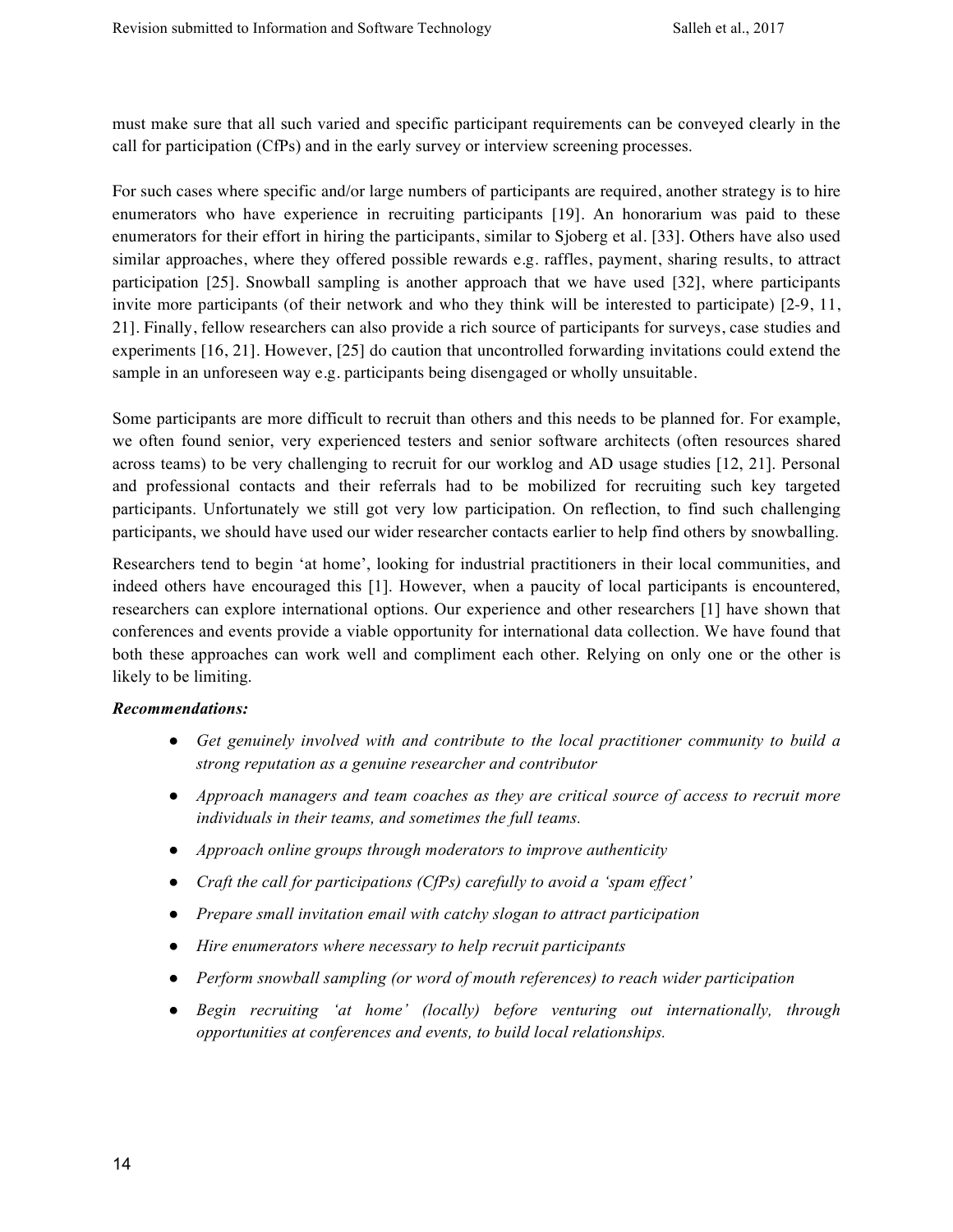must make sure that all such varied and specific participant requirements can be conveyed clearly in the call for participation (CfPs) and in the early survey or interview screening processes.

For such cases where specific and/or large numbers of participants are required, another strategy is to hire enumerators who have experience in recruiting participants [19]. An honorarium was paid to these enumerators for their effort in hiring the participants, similar to Sjoberg et al. [33]. Others have also used similar approaches, where they offered possible rewards e.g. raffles, payment, sharing results, to attract participation [25]. Snowball sampling is another approach that we have used [32], where participants invite more participants (of their network and who they think will be interested to participate) [2-9, 11, 21]. Finally, fellow researchers can also provide a rich source of participants for surveys, case studies and experiments [16, 21]. However, [25] do caution that uncontrolled forwarding invitations could extend the sample in an unforeseen way e.g. participants being disengaged or wholly unsuitable.

Some participants are more difficult to recruit than others and this needs to be planned for. For example, we often found senior, very experienced testers and senior software architects (often resources shared across teams) to be very challenging to recruit for our worklog and AD usage studies [12, 21]. Personal and professional contacts and their referrals had to be mobilized for recruiting such key targeted participants. Unfortunately we still got very low participation. On reflection, to find such challenging participants, we should have used our wider researcher contacts earlier to help find others by snowballing.

Researchers tend to begin 'at home', looking for industrial practitioners in their local communities, and indeed others have encouraged this [1]. However, when a paucity of local participants is encountered, researchers can explore international options. Our experience and other researchers [1] have shown that conferences and events provide a viable opportunity for international data collection. We have found that both these approaches can work well and compliment each other. Relying on only one or the other is likely to be limiting.

#### *Recommendations:*

- *Get genuinely involved with and contribute to the local practitioner community to build a strong reputation as a genuine researcher and contributor*
- *Approach managers and team coaches as they are critical source of access to recruit more individuals in their teams, and sometimes the full teams.*
- *Approach online groups through moderators to improve authenticity*
- *Craft the call for participations (CfPs) carefully to avoid a 'spam effect'*
- *Prepare small invitation email with catchy slogan to attract participation*
- *Hire enumerators where necessary to help recruit participants*
- *Perform snowball sampling (or word of mouth references) to reach wider participation*
- *Begin recruiting 'at home' (locally) before venturing out internationally, through opportunities at conferences and events, to build local relationships.*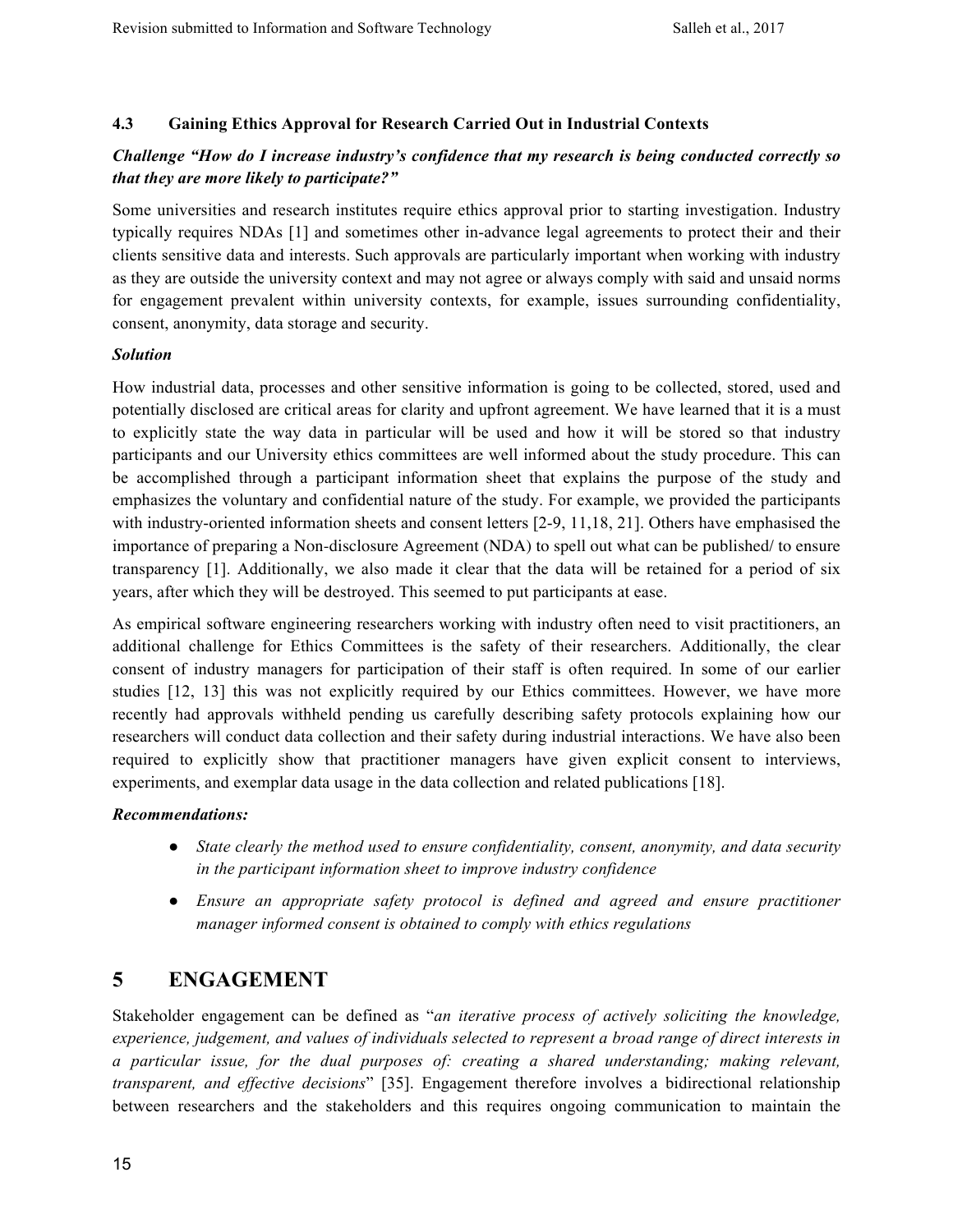#### **4.3 Gaining Ethics Approval for Research Carried Out in Industrial Contexts**

## *Challenge "How do I increase industry's confidence that my research is being conducted correctly so that they are more likely to participate?"*

Some universities and research institutes require ethics approval prior to starting investigation. Industry typically requires NDAs [1] and sometimes other in-advance legal agreements to protect their and their clients sensitive data and interests. Such approvals are particularly important when working with industry as they are outside the university context and may not agree or always comply with said and unsaid norms for engagement prevalent within university contexts, for example, issues surrounding confidentiality, consent, anonymity, data storage and security.

#### *Solution*

How industrial data, processes and other sensitive information is going to be collected, stored, used and potentially disclosed are critical areas for clarity and upfront agreement. We have learned that it is a must to explicitly state the way data in particular will be used and how it will be stored so that industry participants and our University ethics committees are well informed about the study procedure. This can be accomplished through a participant information sheet that explains the purpose of the study and emphasizes the voluntary and confidential nature of the study. For example, we provided the participants with industry-oriented information sheets and consent letters [2-9, 11,18, 21]. Others have emphasised the importance of preparing a Non-disclosure Agreement (NDA) to spell out what can be published/ to ensure transparency [1]. Additionally, we also made it clear that the data will be retained for a period of six years, after which they will be destroyed. This seemed to put participants at ease.

As empirical software engineering researchers working with industry often need to visit practitioners, an additional challenge for Ethics Committees is the safety of their researchers. Additionally, the clear consent of industry managers for participation of their staff is often required. In some of our earlier studies [12, 13] this was not explicitly required by our Ethics committees. However, we have more recently had approvals withheld pending us carefully describing safety protocols explaining how our researchers will conduct data collection and their safety during industrial interactions. We have also been required to explicitly show that practitioner managers have given explicit consent to interviews, experiments, and exemplar data usage in the data collection and related publications [18].

#### *Recommendations:*

- *State clearly the method used to ensure confidentiality, consent, anonymity, and data security in the participant information sheet to improve industry confidence*
- *Ensure an appropriate safety protocol is defined and agreed and ensure practitioner manager informed consent is obtained to comply with ethics regulations*

# **5 ENGAGEMENT**

Stakeholder engagement can be defined as "*an iterative process of actively soliciting the knowledge, experience, judgement, and values of individuals selected to represent a broad range of direct interests in a particular issue, for the dual purposes of: creating a shared understanding; making relevant, transparent, and effective decisions*" [35]. Engagement therefore involves a bidirectional relationship between researchers and the stakeholders and this requires ongoing communication to maintain the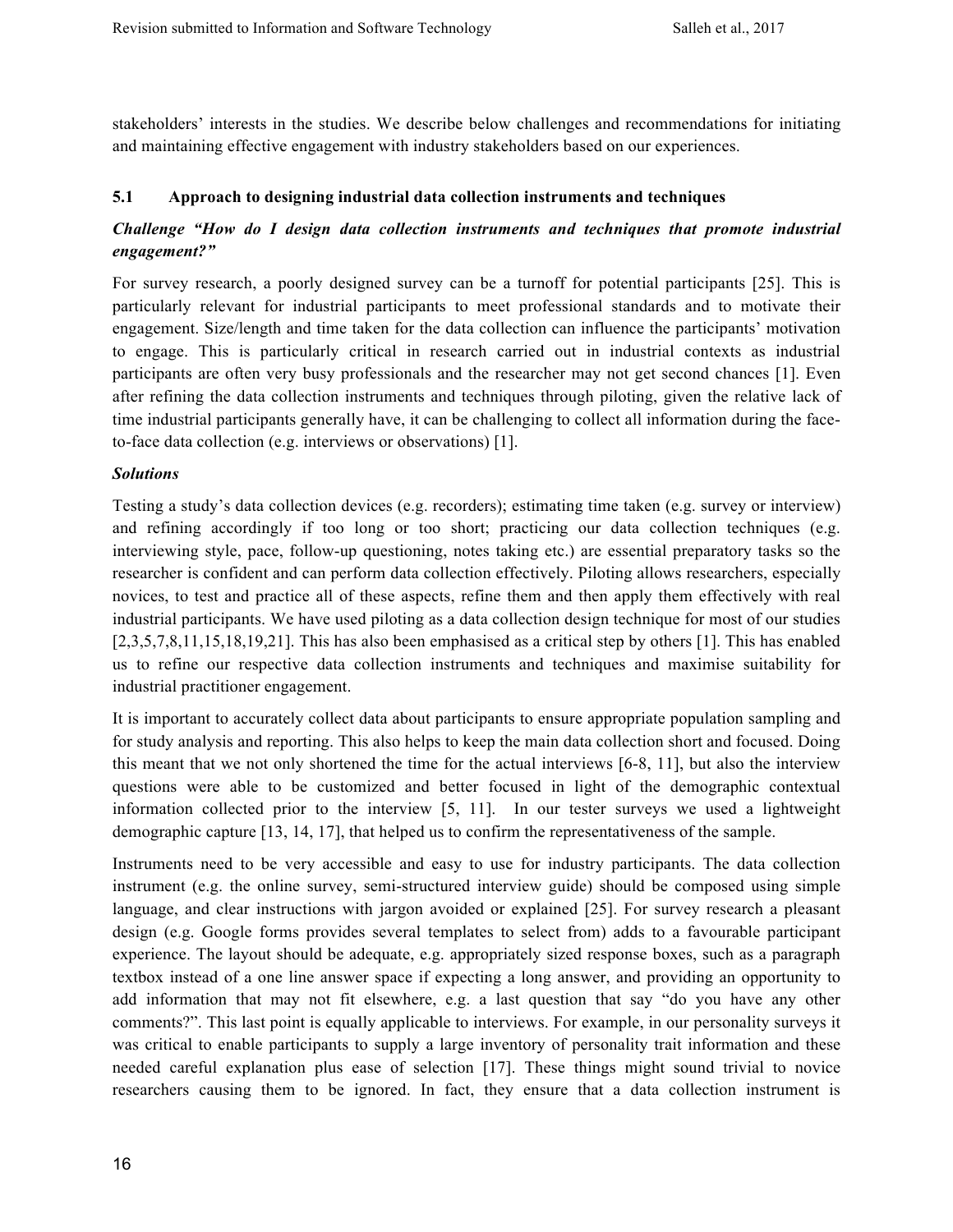stakeholders' interests in the studies. We describe below challenges and recommendations for initiating and maintaining effective engagement with industry stakeholders based on our experiences.

#### **5.1 Approach to designing industrial data collection instruments and techniques**

## *Challenge "How do I design data collection instruments and techniques that promote industrial engagement?"*

For survey research, a poorly designed survey can be a turnoff for potential participants [25]. This is particularly relevant for industrial participants to meet professional standards and to motivate their engagement. Size/length and time taken for the data collection can influence the participants' motivation to engage. This is particularly critical in research carried out in industrial contexts as industrial participants are often very busy professionals and the researcher may not get second chances [1]. Even after refining the data collection instruments and techniques through piloting, given the relative lack of time industrial participants generally have, it can be challenging to collect all information during the faceto-face data collection (e.g. interviews or observations) [1].

#### *Solutions*

Testing a study's data collection devices (e.g. recorders); estimating time taken (e.g. survey or interview) and refining accordingly if too long or too short; practicing our data collection techniques (e.g. interviewing style, pace, follow-up questioning, notes taking etc.) are essential preparatory tasks so the researcher is confident and can perform data collection effectively. Piloting allows researchers, especially novices, to test and practice all of these aspects, refine them and then apply them effectively with real industrial participants. We have used piloting as a data collection design technique for most of our studies [2,3,5,7,8,11,15,18,19,21]. This has also been emphasised as a critical step by others [1]. This has enabled us to refine our respective data collection instruments and techniques and maximise suitability for industrial practitioner engagement.

It is important to accurately collect data about participants to ensure appropriate population sampling and for study analysis and reporting. This also helps to keep the main data collection short and focused. Doing this meant that we not only shortened the time for the actual interviews [6-8, 11], but also the interview questions were able to be customized and better focused in light of the demographic contextual information collected prior to the interview [5, 11]. In our tester surveys we used a lightweight demographic capture [13, 14, 17], that helped us to confirm the representativeness of the sample.

Instruments need to be very accessible and easy to use for industry participants. The data collection instrument (e.g. the online survey, semi-structured interview guide) should be composed using simple language, and clear instructions with jargon avoided or explained [25]. For survey research a pleasant design (e.g. Google forms provides several templates to select from) adds to a favourable participant experience. The layout should be adequate, e.g. appropriately sized response boxes, such as a paragraph textbox instead of a one line answer space if expecting a long answer, and providing an opportunity to add information that may not fit elsewhere, e.g. a last question that say "do you have any other comments?". This last point is equally applicable to interviews. For example, in our personality surveys it was critical to enable participants to supply a large inventory of personality trait information and these needed careful explanation plus ease of selection [17]. These things might sound trivial to novice researchers causing them to be ignored. In fact, they ensure that a data collection instrument is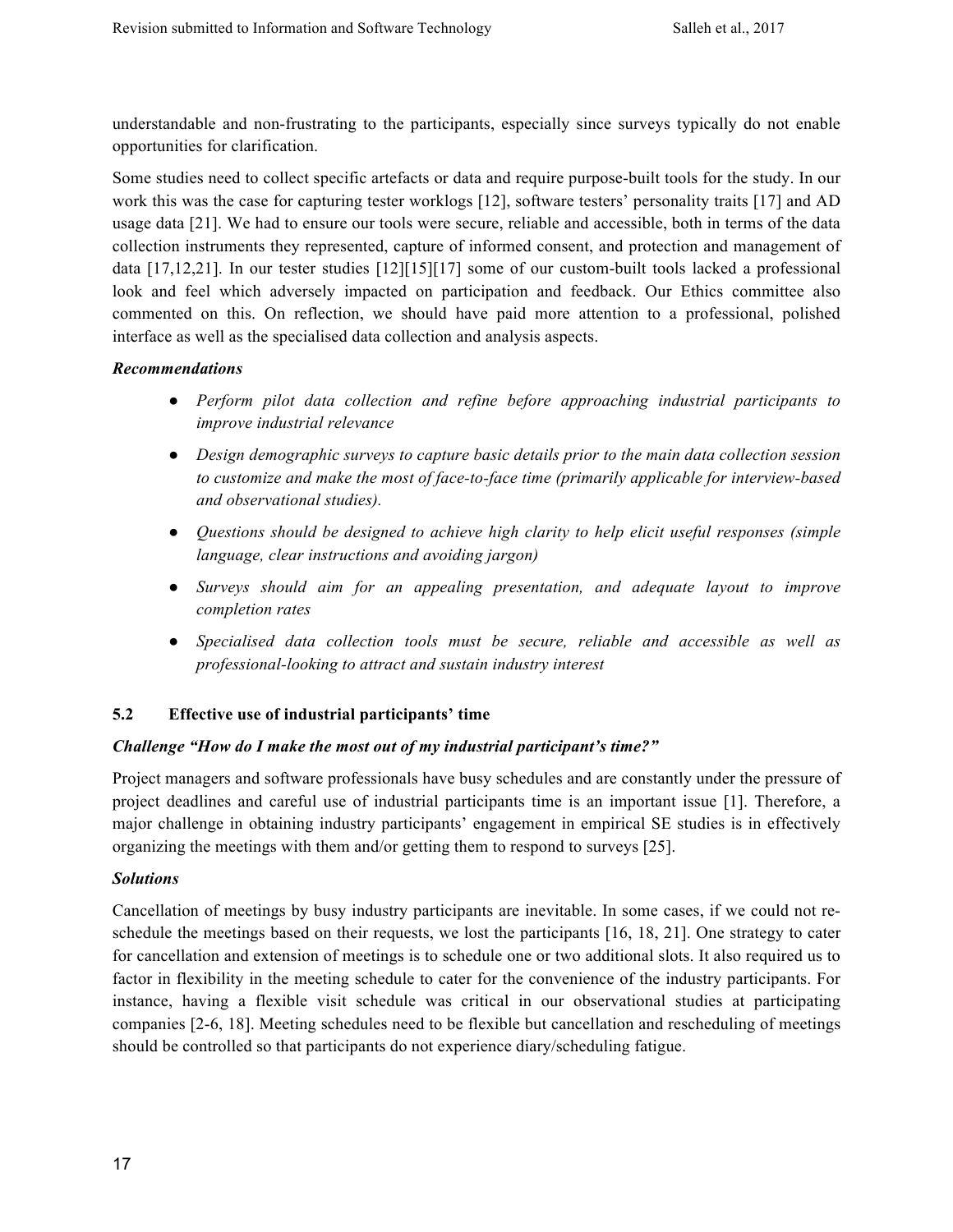understandable and non-frustrating to the participants, especially since surveys typically do not enable opportunities for clarification.

Some studies need to collect specific artefacts or data and require purpose-built tools for the study. In our work this was the case for capturing tester worklogs [12], software testers' personality traits [17] and AD usage data [21]. We had to ensure our tools were secure, reliable and accessible, both in terms of the data collection instruments they represented, capture of informed consent, and protection and management of data [17,12,21]. In our tester studies [12][15][17] some of our custom-built tools lacked a professional look and feel which adversely impacted on participation and feedback. Our Ethics committee also commented on this. On reflection, we should have paid more attention to a professional, polished interface as well as the specialised data collection and analysis aspects.

#### *Recommendations*

- *Perform pilot data collection and refine before approaching industrial participants to improve industrial relevance*
- *Design demographic surveys to capture basic details prior to the main data collection session to customize and make the most of face-to-face time (primarily applicable for interview-based and observational studies).*
- *Questions should be designed to achieve high clarity to help elicit useful responses (simple language, clear instructions and avoiding jargon)*
- *Surveys should aim for an appealing presentation, and adequate layout to improve completion rates*
- *Specialised data collection tools must be secure, reliable and accessible as well as professional-looking to attract and sustain industry interest*

#### **5.2 Effective use of industrial participants' time**

#### *Challenge "How do I make the most out of my industrial participant's time?"*

Project managers and software professionals have busy schedules and are constantly under the pressure of project deadlines and careful use of industrial participants time is an important issue [1]. Therefore, a major challenge in obtaining industry participants' engagement in empirical SE studies is in effectively organizing the meetings with them and/or getting them to respond to surveys [25].

#### *Solutions*

Cancellation of meetings by busy industry participants are inevitable. In some cases, if we could not reschedule the meetings based on their requests, we lost the participants [16, 18, 21]. One strategy to cater for cancellation and extension of meetings is to schedule one or two additional slots. It also required us to factor in flexibility in the meeting schedule to cater for the convenience of the industry participants. For instance, having a flexible visit schedule was critical in our observational studies at participating companies [2-6, 18]. Meeting schedules need to be flexible but cancellation and rescheduling of meetings should be controlled so that participants do not experience diary/scheduling fatigue.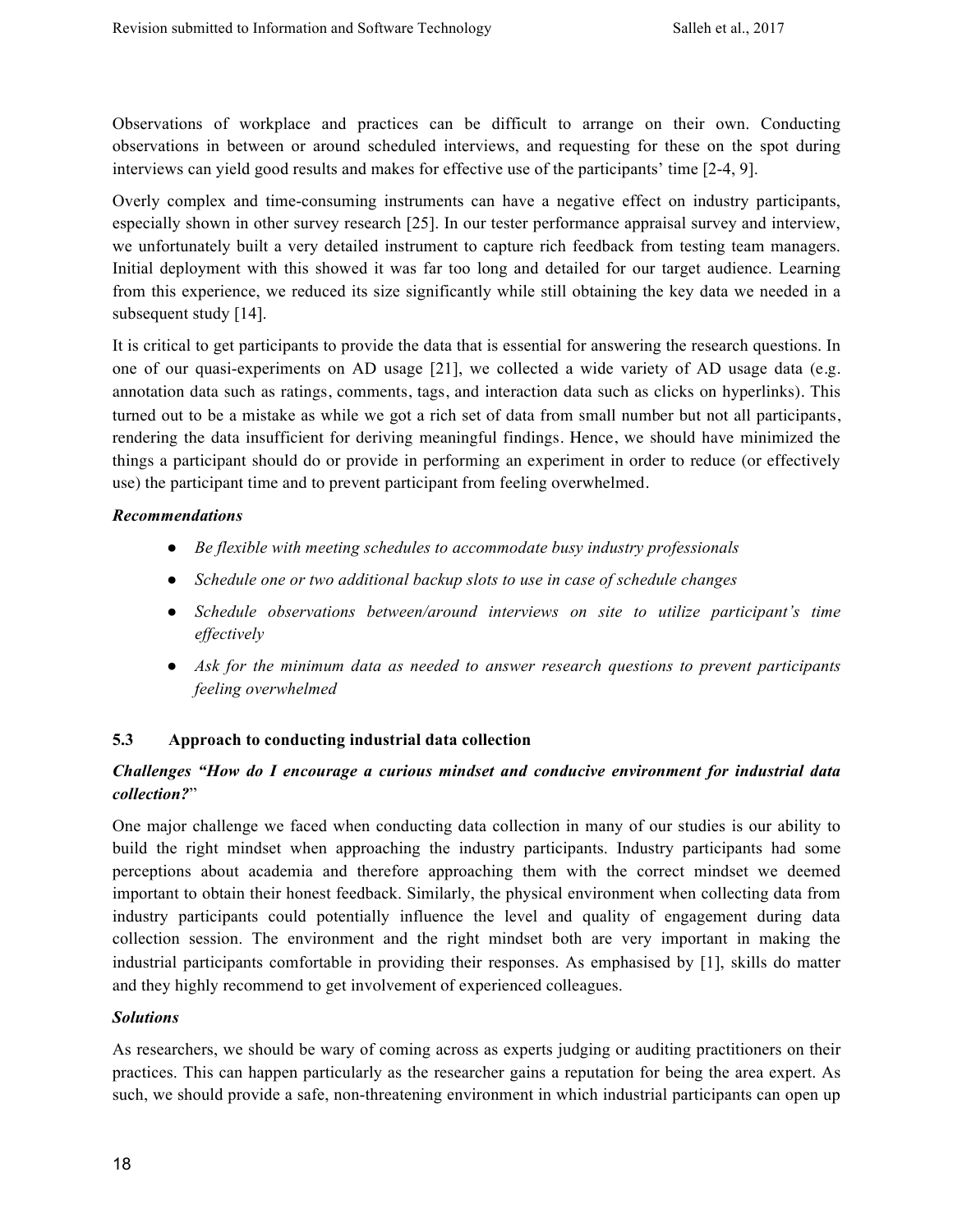Observations of workplace and practices can be difficult to arrange on their own. Conducting observations in between or around scheduled interviews, and requesting for these on the spot during interviews can yield good results and makes for effective use of the participants' time [2-4, 9].

Overly complex and time-consuming instruments can have a negative effect on industry participants, especially shown in other survey research [25]. In our tester performance appraisal survey and interview, we unfortunately built a very detailed instrument to capture rich feedback from testing team managers. Initial deployment with this showed it was far too long and detailed for our target audience. Learning from this experience, we reduced its size significantly while still obtaining the key data we needed in a subsequent study [14].

It is critical to get participants to provide the data that is essential for answering the research questions. In one of our quasi-experiments on AD usage [21], we collected a wide variety of AD usage data (e.g. annotation data such as ratings, comments, tags, and interaction data such as clicks on hyperlinks). This turned out to be a mistake as while we got a rich set of data from small number but not all participants, rendering the data insufficient for deriving meaningful findings. Hence, we should have minimized the things a participant should do or provide in performing an experiment in order to reduce (or effectively use) the participant time and to prevent participant from feeling overwhelmed.

#### *Recommendations*

- *Be flexible with meeting schedules to accommodate busy industry professionals*
- *Schedule one or two additional backup slots to use in case of schedule changes*
- *Schedule observations between/around interviews on site to utilize participant's time effectively*
- *Ask for the minimum data as needed to answer research questions to prevent participants feeling overwhelmed*

## **5.3 Approach to conducting industrial data collection**

## *Challenges "How do I encourage a curious mindset and conducive environment for industrial data collection?*"

One major challenge we faced when conducting data collection in many of our studies is our ability to build the right mindset when approaching the industry participants. Industry participants had some perceptions about academia and therefore approaching them with the correct mindset we deemed important to obtain their honest feedback. Similarly, the physical environment when collecting data from industry participants could potentially influence the level and quality of engagement during data collection session. The environment and the right mindset both are very important in making the industrial participants comfortable in providing their responses. As emphasised by [1], skills do matter and they highly recommend to get involvement of experienced colleagues.

#### *Solutions*

As researchers, we should be wary of coming across as experts judging or auditing practitioners on their practices. This can happen particularly as the researcher gains a reputation for being the area expert. As such, we should provide a safe, non-threatening environment in which industrial participants can open up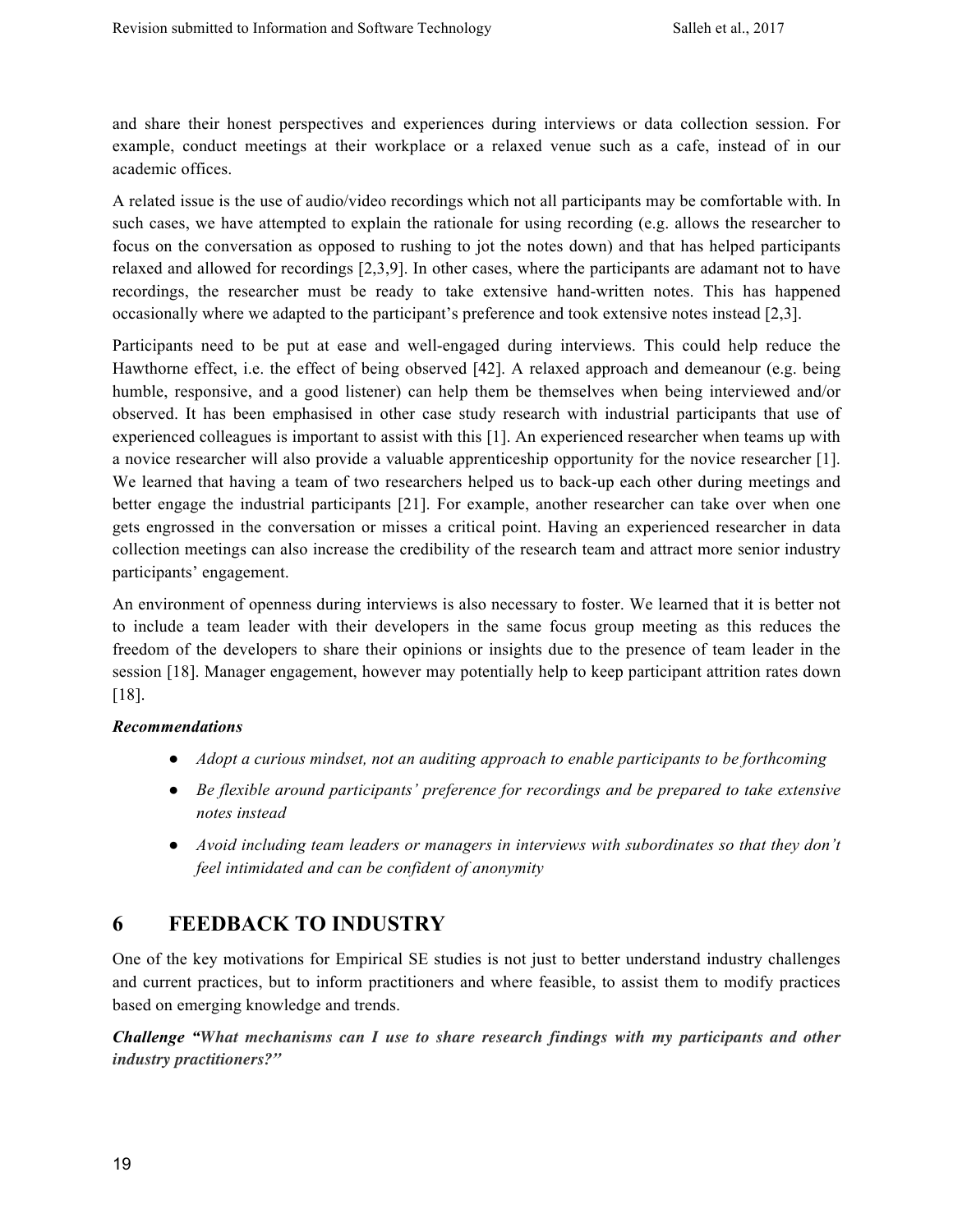and share their honest perspectives and experiences during interviews or data collection session. For example, conduct meetings at their workplace or a relaxed venue such as a cafe, instead of in our academic offices.

A related issue is the use of audio/video recordings which not all participants may be comfortable with. In such cases, we have attempted to explain the rationale for using recording (e.g. allows the researcher to focus on the conversation as opposed to rushing to jot the notes down) and that has helped participants relaxed and allowed for recordings [2,3,9]. In other cases, where the participants are adamant not to have recordings, the researcher must be ready to take extensive hand-written notes. This has happened occasionally where we adapted to the participant's preference and took extensive notes instead [2,3].

Participants need to be put at ease and well-engaged during interviews. This could help reduce the Hawthorne effect, i.e. the effect of being observed [42]. A relaxed approach and demeanour (e.g. being humble, responsive, and a good listener) can help them be themselves when being interviewed and/or observed. It has been emphasised in other case study research with industrial participants that use of experienced colleagues is important to assist with this [1]. An experienced researcher when teams up with a novice researcher will also provide a valuable apprenticeship opportunity for the novice researcher [1]. We learned that having a team of two researchers helped us to back-up each other during meetings and better engage the industrial participants [21]. For example, another researcher can take over when one gets engrossed in the conversation or misses a critical point. Having an experienced researcher in data collection meetings can also increase the credibility of the research team and attract more senior industry participants' engagement.

An environment of openness during interviews is also necessary to foster. We learned that it is better not to include a team leader with their developers in the same focus group meeting as this reduces the freedom of the developers to share their opinions or insights due to the presence of team leader in the session [18]. Manager engagement, however may potentially help to keep participant attrition rates down [18].

#### *Recommendations*

- *Adopt a curious mindset, not an auditing approach to enable participants to be forthcoming*
- *Be flexible around participants' preference for recordings and be prepared to take extensive notes instead*
- *Avoid including team leaders or managers in interviews with subordinates so that they don't feel intimidated and can be confident of anonymity*

# **6 FEEDBACK TO INDUSTRY**

One of the key motivations for Empirical SE studies is not just to better understand industry challenges and current practices, but to inform practitioners and where feasible, to assist them to modify practices based on emerging knowledge and trends.

*Challenge "What mechanisms can I use to share research findings with my participants and other industry practitioners?"*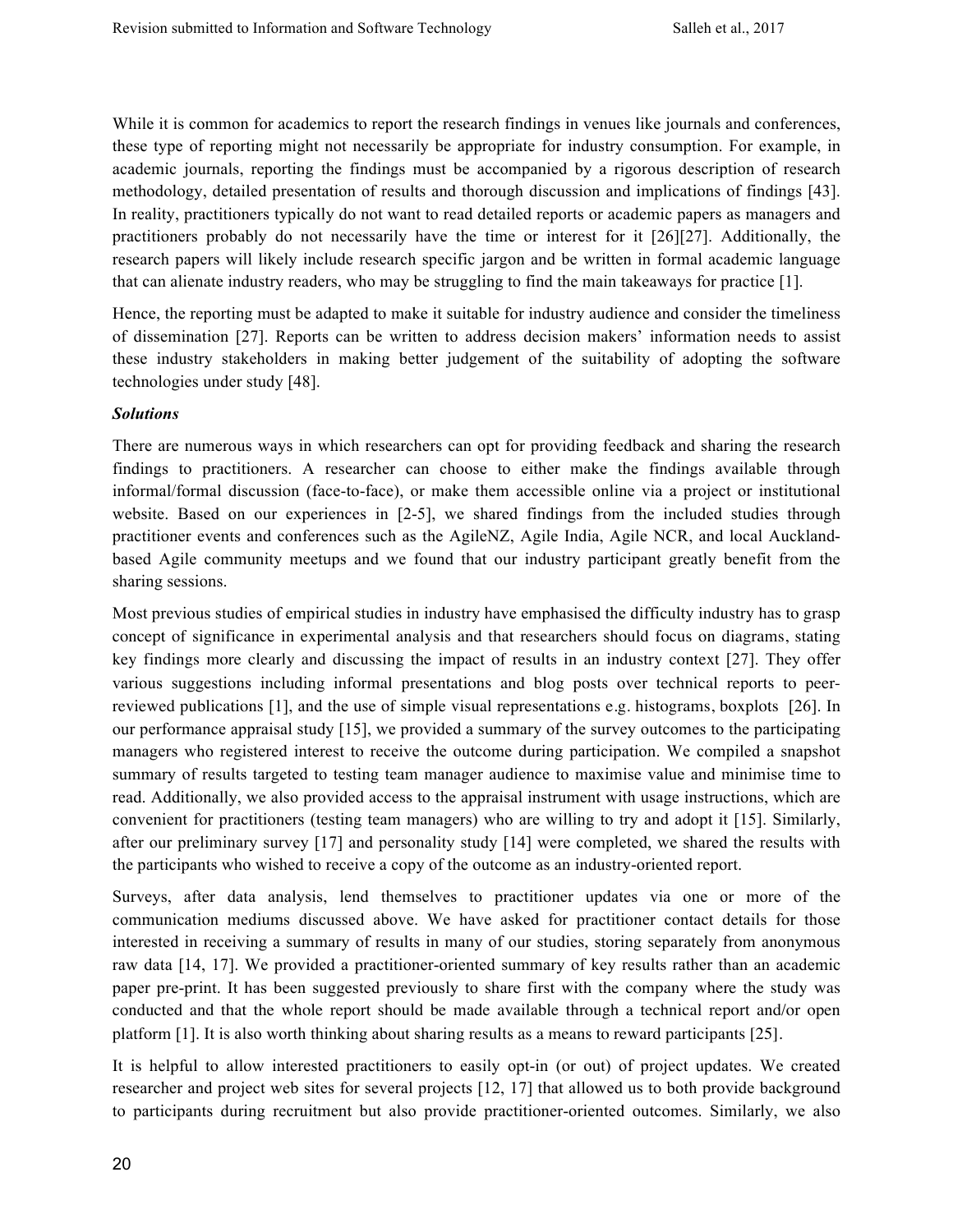While it is common for academics to report the research findings in venues like journals and conferences, these type of reporting might not necessarily be appropriate for industry consumption. For example, in academic journals, reporting the findings must be accompanied by a rigorous description of research methodology, detailed presentation of results and thorough discussion and implications of findings [43]. In reality, practitioners typically do not want to read detailed reports or academic papers as managers and practitioners probably do not necessarily have the time or interest for it [26][27]. Additionally, the research papers will likely include research specific jargon and be written in formal academic language that can alienate industry readers, who may be struggling to find the main takeaways for practice [1].

Hence, the reporting must be adapted to make it suitable for industry audience and consider the timeliness of dissemination [27]. Reports can be written to address decision makers' information needs to assist these industry stakeholders in making better judgement of the suitability of adopting the software technologies under study [48].

#### *Solutions*

There are numerous ways in which researchers can opt for providing feedback and sharing the research findings to practitioners. A researcher can choose to either make the findings available through informal/formal discussion (face-to-face), or make them accessible online via a project or institutional website. Based on our experiences in [2-5], we shared findings from the included studies through practitioner events and conferences such as the AgileNZ, Agile India, Agile NCR, and local Aucklandbased Agile community meetups and we found that our industry participant greatly benefit from the sharing sessions.

Most previous studies of empirical studies in industry have emphasised the difficulty industry has to grasp concept of significance in experimental analysis and that researchers should focus on diagrams, stating key findings more clearly and discussing the impact of results in an industry context [27]. They offer various suggestions including informal presentations and blog posts over technical reports to peerreviewed publications [1], and the use of simple visual representations e.g. histograms, boxplots [26]. In our performance appraisal study [15], we provided a summary of the survey outcomes to the participating managers who registered interest to receive the outcome during participation. We compiled a snapshot summary of results targeted to testing team manager audience to maximise value and minimise time to read. Additionally, we also provided access to the appraisal instrument with usage instructions, which are convenient for practitioners (testing team managers) who are willing to try and adopt it [15]. Similarly, after our preliminary survey [17] and personality study [14] were completed, we shared the results with the participants who wished to receive a copy of the outcome as an industry-oriented report.

Surveys, after data analysis, lend themselves to practitioner updates via one or more of the communication mediums discussed above. We have asked for practitioner contact details for those interested in receiving a summary of results in many of our studies, storing separately from anonymous raw data [14, 17]. We provided a practitioner-oriented summary of key results rather than an academic paper pre-print. It has been suggested previously to share first with the company where the study was conducted and that the whole report should be made available through a technical report and/or open platform [1]. It is also worth thinking about sharing results as a means to reward participants [25].

It is helpful to allow interested practitioners to easily opt-in (or out) of project updates. We created researcher and project web sites for several projects [12, 17] that allowed us to both provide background to participants during recruitment but also provide practitioner-oriented outcomes. Similarly, we also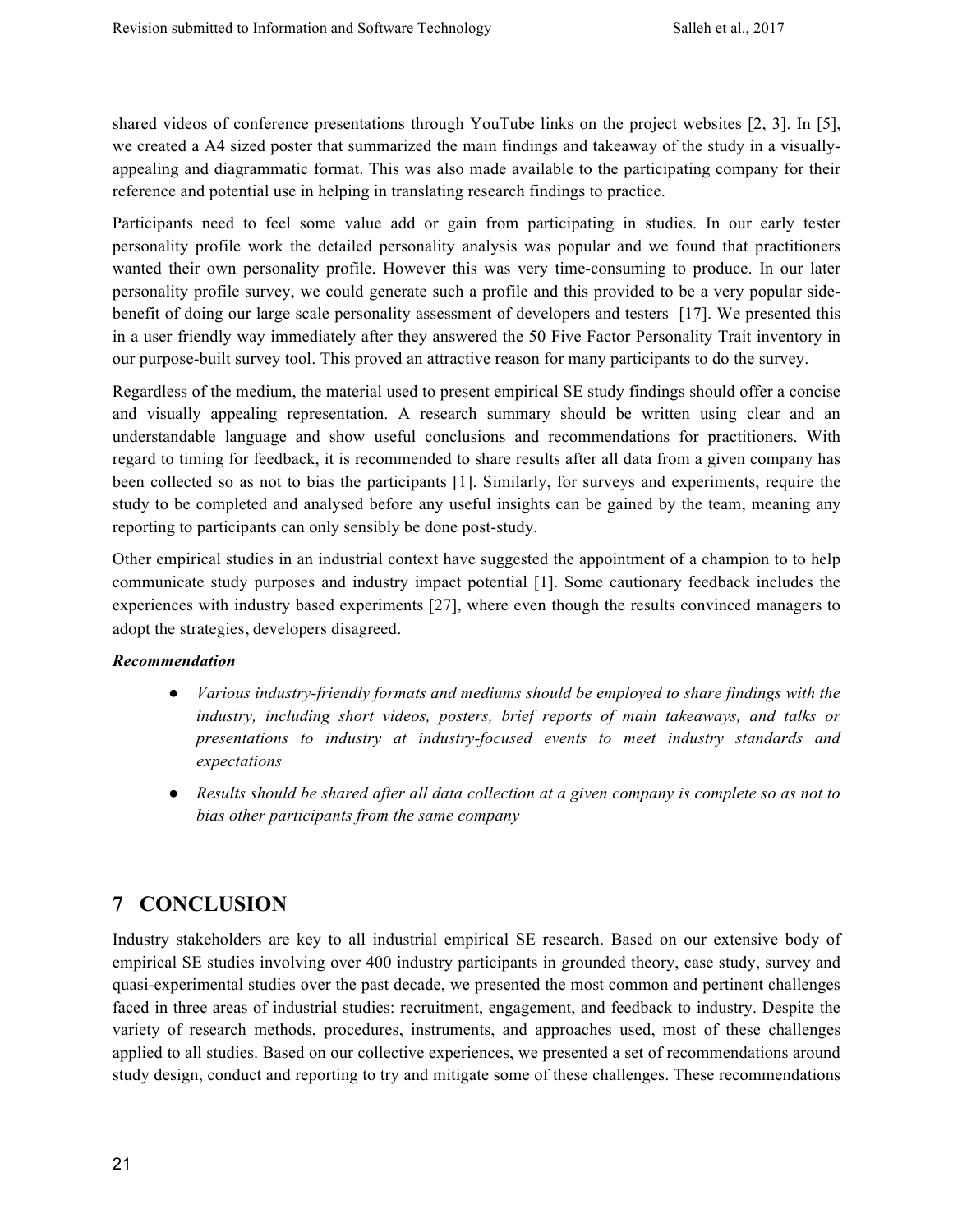shared videos of conference presentations through YouTube links on the project websites [2, 3]. In [5], we created a A4 sized poster that summarized the main findings and takeaway of the study in a visuallyappealing and diagrammatic format. This was also made available to the participating company for their reference and potential use in helping in translating research findings to practice.

Participants need to feel some value add or gain from participating in studies. In our early tester personality profile work the detailed personality analysis was popular and we found that practitioners wanted their own personality profile. However this was very time-consuming to produce. In our later personality profile survey, we could generate such a profile and this provided to be a very popular sidebenefit of doing our large scale personality assessment of developers and testers [17]. We presented this in a user friendly way immediately after they answered the 50 Five Factor Personality Trait inventory in our purpose-built survey tool. This proved an attractive reason for many participants to do the survey.

Regardless of the medium, the material used to present empirical SE study findings should offer a concise and visually appealing representation. A research summary should be written using clear and an understandable language and show useful conclusions and recommendations for practitioners. With regard to timing for feedback, it is recommended to share results after all data from a given company has been collected so as not to bias the participants [1]. Similarly, for surveys and experiments, require the study to be completed and analysed before any useful insights can be gained by the team, meaning any reporting to participants can only sensibly be done post-study.

Other empirical studies in an industrial context have suggested the appointment of a champion to to help communicate study purposes and industry impact potential [1]. Some cautionary feedback includes the experiences with industry based experiments [27], where even though the results convinced managers to adopt the strategies, developers disagreed.

#### *Recommendation*

- *Various industry-friendly formats and mediums should be employed to share findings with the industry, including short videos, posters, brief reports of main takeaways, and talks or presentations to industry at industry-focused events to meet industry standards and expectations*
- *Results should be shared after all data collection at a given company is complete so as not to bias other participants from the same company*

# **7 CONCLUSION**

Industry stakeholders are key to all industrial empirical SE research. Based on our extensive body of empirical SE studies involving over 400 industry participants in grounded theory, case study, survey and quasi-experimental studies over the past decade, we presented the most common and pertinent challenges faced in three areas of industrial studies: recruitment, engagement, and feedback to industry. Despite the variety of research methods, procedures, instruments, and approaches used, most of these challenges applied to all studies. Based on our collective experiences, we presented a set of recommendations around study design, conduct and reporting to try and mitigate some of these challenges. These recommendations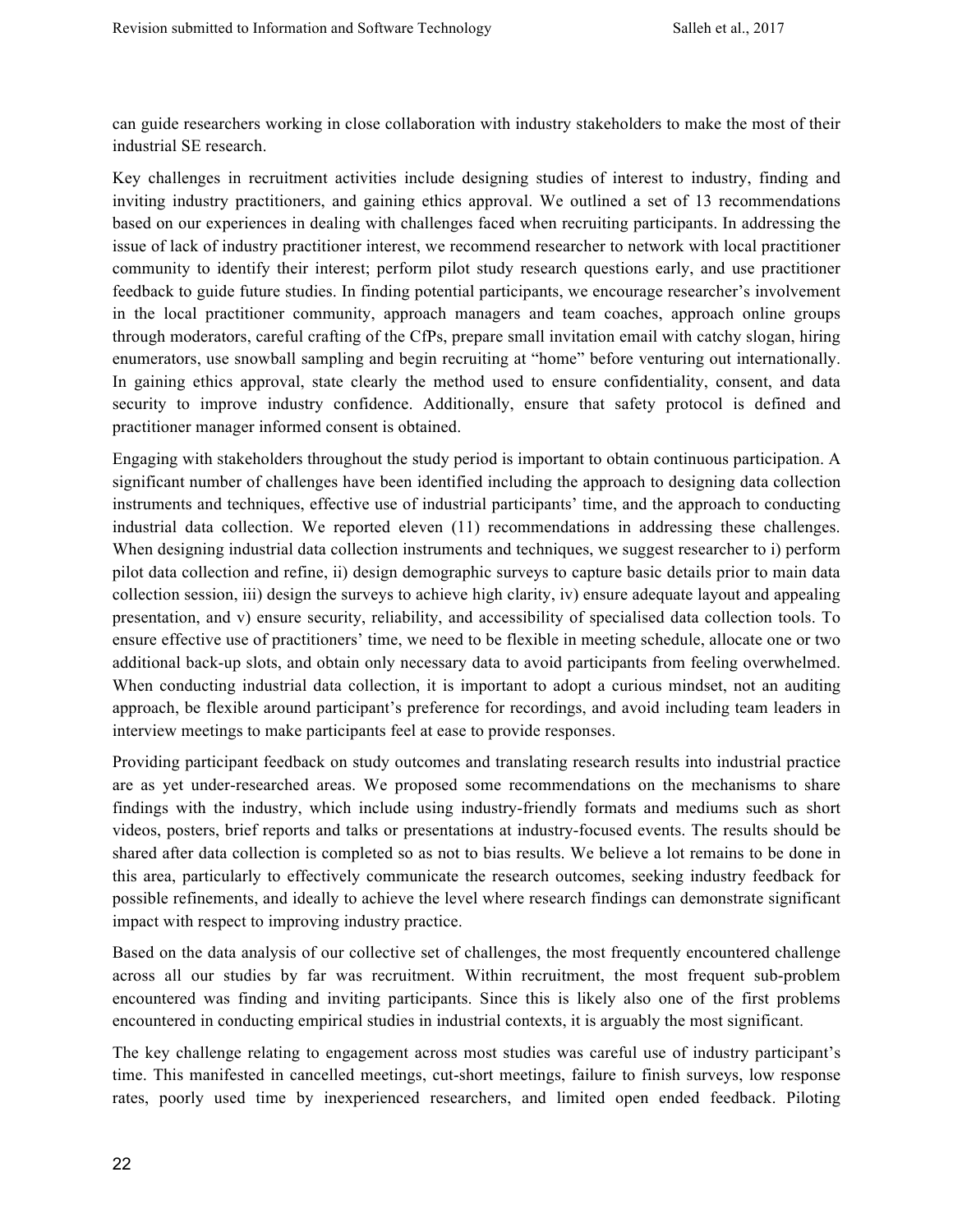can guide researchers working in close collaboration with industry stakeholders to make the most of their industrial SE research.

Key challenges in recruitment activities include designing studies of interest to industry, finding and inviting industry practitioners, and gaining ethics approval. We outlined a set of 13 recommendations based on our experiences in dealing with challenges faced when recruiting participants. In addressing the issue of lack of industry practitioner interest, we recommend researcher to network with local practitioner community to identify their interest; perform pilot study research questions early, and use practitioner feedback to guide future studies. In finding potential participants, we encourage researcher's involvement in the local practitioner community, approach managers and team coaches, approach online groups through moderators, careful crafting of the CfPs, prepare small invitation email with catchy slogan, hiring enumerators, use snowball sampling and begin recruiting at "home" before venturing out internationally. In gaining ethics approval, state clearly the method used to ensure confidentiality, consent, and data security to improve industry confidence. Additionally, ensure that safety protocol is defined and practitioner manager informed consent is obtained.

Engaging with stakeholders throughout the study period is important to obtain continuous participation. A significant number of challenges have been identified including the approach to designing data collection instruments and techniques, effective use of industrial participants' time, and the approach to conducting industrial data collection. We reported eleven (11) recommendations in addressing these challenges. When designing industrial data collection instruments and techniques, we suggest researcher to i) perform pilot data collection and refine, ii) design demographic surveys to capture basic details prior to main data collection session, iii) design the surveys to achieve high clarity, iv) ensure adequate layout and appealing presentation, and v) ensure security, reliability, and accessibility of specialised data collection tools. To ensure effective use of practitioners' time, we need to be flexible in meeting schedule, allocate one or two additional back-up slots, and obtain only necessary data to avoid participants from feeling overwhelmed. When conducting industrial data collection, it is important to adopt a curious mindset, not an auditing approach, be flexible around participant's preference for recordings, and avoid including team leaders in interview meetings to make participants feel at ease to provide responses.

Providing participant feedback on study outcomes and translating research results into industrial practice are as yet under-researched areas. We proposed some recommendations on the mechanisms to share findings with the industry, which include using industry-friendly formats and mediums such as short videos, posters, brief reports and talks or presentations at industry-focused events. The results should be shared after data collection is completed so as not to bias results. We believe a lot remains to be done in this area, particularly to effectively communicate the research outcomes, seeking industry feedback for possible refinements, and ideally to achieve the level where research findings can demonstrate significant impact with respect to improving industry practice.

Based on the data analysis of our collective set of challenges, the most frequently encountered challenge across all our studies by far was recruitment. Within recruitment, the most frequent sub-problem encountered was finding and inviting participants. Since this is likely also one of the first problems encountered in conducting empirical studies in industrial contexts, it is arguably the most significant.

The key challenge relating to engagement across most studies was careful use of industry participant's time. This manifested in cancelled meetings, cut-short meetings, failure to finish surveys, low response rates, poorly used time by inexperienced researchers, and limited open ended feedback. Piloting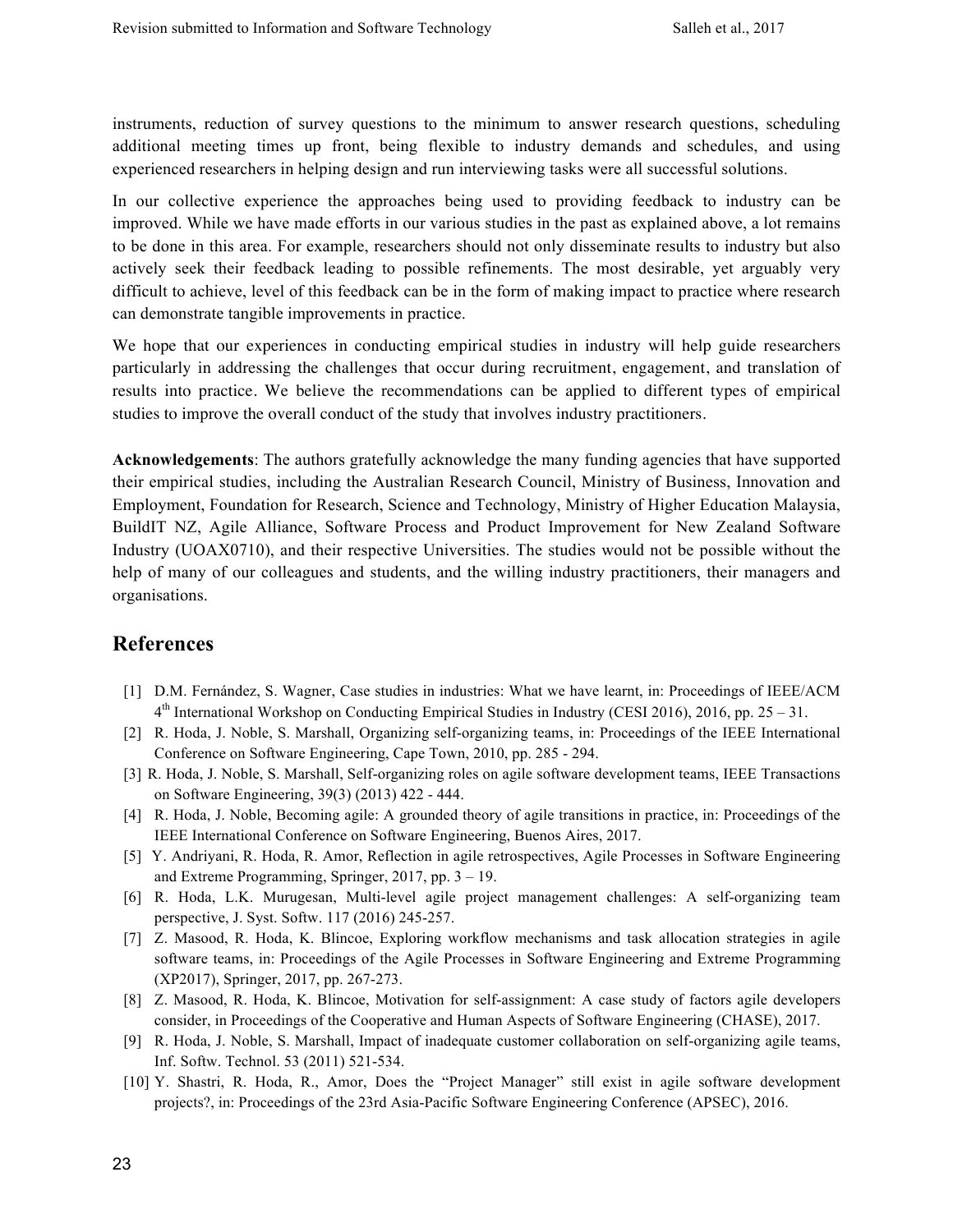instruments, reduction of survey questions to the minimum to answer research questions, scheduling additional meeting times up front, being flexible to industry demands and schedules, and using experienced researchers in helping design and run interviewing tasks were all successful solutions.

In our collective experience the approaches being used to providing feedback to industry can be improved. While we have made efforts in our various studies in the past as explained above, a lot remains to be done in this area. For example, researchers should not only disseminate results to industry but also actively seek their feedback leading to possible refinements. The most desirable, yet arguably very difficult to achieve, level of this feedback can be in the form of making impact to practice where research can demonstrate tangible improvements in practice.

We hope that our experiences in conducting empirical studies in industry will help guide researchers particularly in addressing the challenges that occur during recruitment, engagement, and translation of results into practice. We believe the recommendations can be applied to different types of empirical studies to improve the overall conduct of the study that involves industry practitioners.

**Acknowledgements**: The authors gratefully acknowledge the many funding agencies that have supported their empirical studies, including the Australian Research Council, Ministry of Business, Innovation and Employment, Foundation for Research, Science and Technology, Ministry of Higher Education Malaysia, BuildIT NZ, Agile Alliance, Software Process and Product Improvement for New Zealand Software Industry (UOAX0710), and their respective Universities. The studies would not be possible without the help of many of our colleagues and students, and the willing industry practitioners, their managers and organisations.

# **References**

- [1] D.M. Fernández, S. Wagner, Case studies in industries: What we have learnt, in: Proceedings of IEEE/ACM  $4<sup>th</sup>$  International Workshop on Conducting Empirical Studies in Industry (CESI 2016), 2016, pp. 25 – 31.
- [2] R. Hoda, J. Noble, S. Marshall, Organizing self-organizing teams, in: Proceedings of the IEEE International Conference on Software Engineering, Cape Town, 2010, pp. 285 - 294.
- [3] R. Hoda, J. Noble, S. Marshall, Self-organizing roles on agile software development teams, IEEE Transactions on Software Engineering, 39(3) (2013) 422 - 444.
- [4] R. Hoda, J. Noble, Becoming agile: A grounded theory of agile transitions in practice, in: Proceedings of the IEEE International Conference on Software Engineering, Buenos Aires, 2017.
- [5] Y. Andriyani, R. Hoda, R. Amor, Reflection in agile retrospectives, Agile Processes in Software Engineering and Extreme Programming, Springer, 2017, pp. 3 – 19.
- [6] R. Hoda, L.K. Murugesan, Multi-level agile project management challenges: A self-organizing team perspective, J. Syst. Softw. 117 (2016) 245-257.
- [7] Z. Masood, R. Hoda, K. Blincoe, Exploring workflow mechanisms and task allocation strategies in agile software teams, in: Proceedings of the Agile Processes in Software Engineering and Extreme Programming (XP2017), Springer, 2017, pp. 267-273.
- [8] Z. Masood, R. Hoda, K. Blincoe, Motivation for self-assignment: A case study of factors agile developers consider, in Proceedings of the Cooperative and Human Aspects of Software Engineering (CHASE), 2017.
- [9] R. Hoda, J. Noble, S. Marshall, Impact of inadequate customer collaboration on self-organizing agile teams, Inf. Softw. Technol. 53 (2011) 521-534.
- [10] Y. Shastri, R. Hoda, R., Amor, Does the "Project Manager" still exist in agile software development projects?, in: Proceedings of the 23rd Asia-Pacific Software Engineering Conference (APSEC), 2016.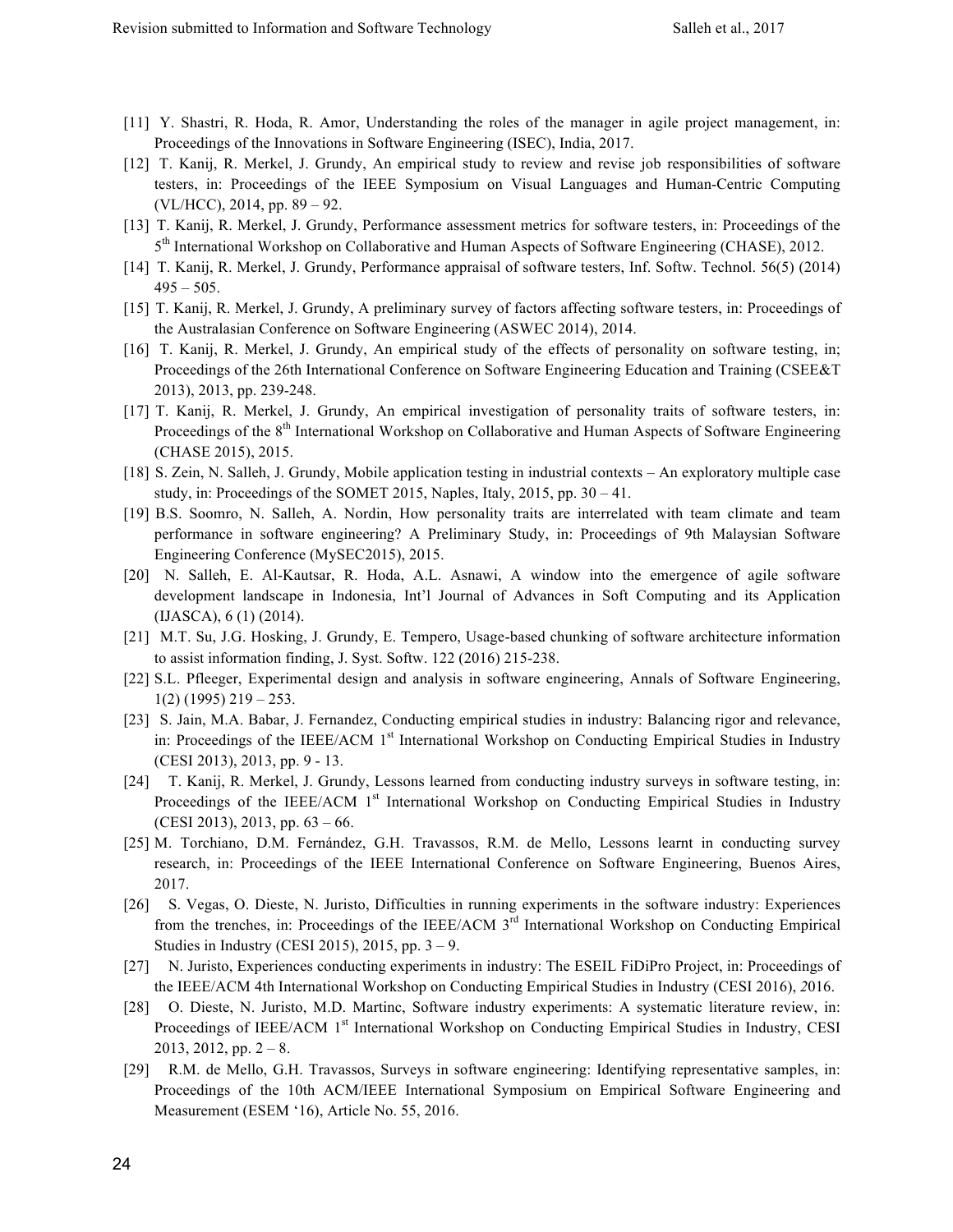- [11] Y. Shastri, R. Hoda, R. Amor, Understanding the roles of the manager in agile project management, in: Proceedings of the Innovations in Software Engineering (ISEC), India, 2017.
- [12] T. Kanij, R. Merkel, J. Grundy, An empirical study to review and revise job responsibilities of software testers, in: Proceedings of the IEEE Symposium on Visual Languages and Human-Centric Computing (VL/HCC), 2014, pp. 89 – 92.
- [13] T. Kanij, R. Merkel, J. Grundy, Performance assessment metrics for software testers, in: Proceedings of the 5<sup>th</sup> International Workshop on Collaborative and Human Aspects of Software Engineering (CHASE), 2012.
- [14] T. Kanij, R. Merkel, J. Grundy, Performance appraisal of software testers, Inf. Softw. Technol. 56(5) (2014)  $495 - 505$ .
- [15] T. Kanij, R. Merkel, J. Grundy, A preliminary survey of factors affecting software testers, in: Proceedings of the Australasian Conference on Software Engineering (ASWEC 2014), 2014.
- [16] T. Kanij, R. Merkel, J. Grundy, An empirical study of the effects of personality on software testing, in; Proceedings of the 26th International Conference on Software Engineering Education and Training (CSEE&T 2013), 2013, pp. 239-248.
- [17] T. Kanij, R. Merkel, J. Grundy, An empirical investigation of personality traits of software testers, in: Proceedings of the 8<sup>th</sup> International Workshop on Collaborative and Human Aspects of Software Engineering (CHASE 2015), 2015.
- [18] S. Zein, N. Salleh, J. Grundy, Mobile application testing in industrial contexts An exploratory multiple case study, in: Proceedings of the SOMET 2015, Naples, Italy, 2015, pp. 30 – 41.
- [19] B.S. Soomro, N. Salleh, A. Nordin, How personality traits are interrelated with team climate and team performance in software engineering? A Preliminary Study, in: Proceedings of 9th Malaysian Software Engineering Conference (MySEC2015), 2015.
- [20] N. Salleh, E. Al-Kautsar, R. Hoda, A.L. Asnawi, A window into the emergence of agile software development landscape in Indonesia, Int'l Journal of Advances in Soft Computing and its Application (IJASCA), 6 (1) (2014).
- [21] M.T. Su, J.G. Hosking, J. Grundy, E. Tempero, Usage-based chunking of software architecture information to assist information finding, J. Syst. Softw. 122 (2016) 215-238.
- [22] S.L. Pfleeger, Experimental design and analysis in software engineering, Annals of Software Engineering,  $1(2)$  (1995) 219 – 253.
- [23] S. Jain, M.A. Babar, J. Fernandez, Conducting empirical studies in industry: Balancing rigor and relevance, in: Proceedings of the IEEE/ACM 1<sup>st</sup> International Workshop on Conducting Empirical Studies in Industry (CESI 2013), 2013, pp. 9 - 13.
- [24] T. Kanij, R. Merkel, J. Grundy, Lessons learned from conducting industry surveys in software testing, in: Proceedings of the IEEE/ACM 1<sup>st</sup> International Workshop on Conducting Empirical Studies in Industry (CESI 2013), 2013, pp. 63 – 66.
- [25] M. Torchiano, D.M. Fernández, G.H. Travassos, R.M. de Mello, Lessons learnt in conducting survey research, in: Proceedings of the IEEE International Conference on Software Engineering, Buenos Aires, 2017.
- [26] S. Vegas, O. Dieste, N. Juristo, Difficulties in running experiments in the software industry: Experiences from the trenches, in: Proceedings of the IEEE/ACM 3<sup>rd</sup> International Workshop on Conducting Empirical Studies in Industry (CESI 2015), 2015, pp. 3 – 9.
- [27] N. Juristo, Experiences conducting experiments in industry: The ESEIL FiDiPro Project, in: Proceedings of the IEEE/ACM 4th International Workshop on Conducting Empirical Studies in Industry (CESI 2016), *2*016.
- [28] O. Dieste, N. Juristo, M.D. Martinc, Software industry experiments: A systematic literature review, in: Proceedings of IEEE/ACM 1<sup>st</sup> International Workshop on Conducting Empirical Studies in Industry, CESI  $2013, 2012, pp. 2-8.$
- [29] R.M. de Mello, G.H. Travassos, Surveys in software engineering: Identifying representative samples, in: Proceedings of the 10th ACM/IEEE International Symposium on Empirical Software Engineering and Measurement (ESEM '16), Article No. 55, 2016.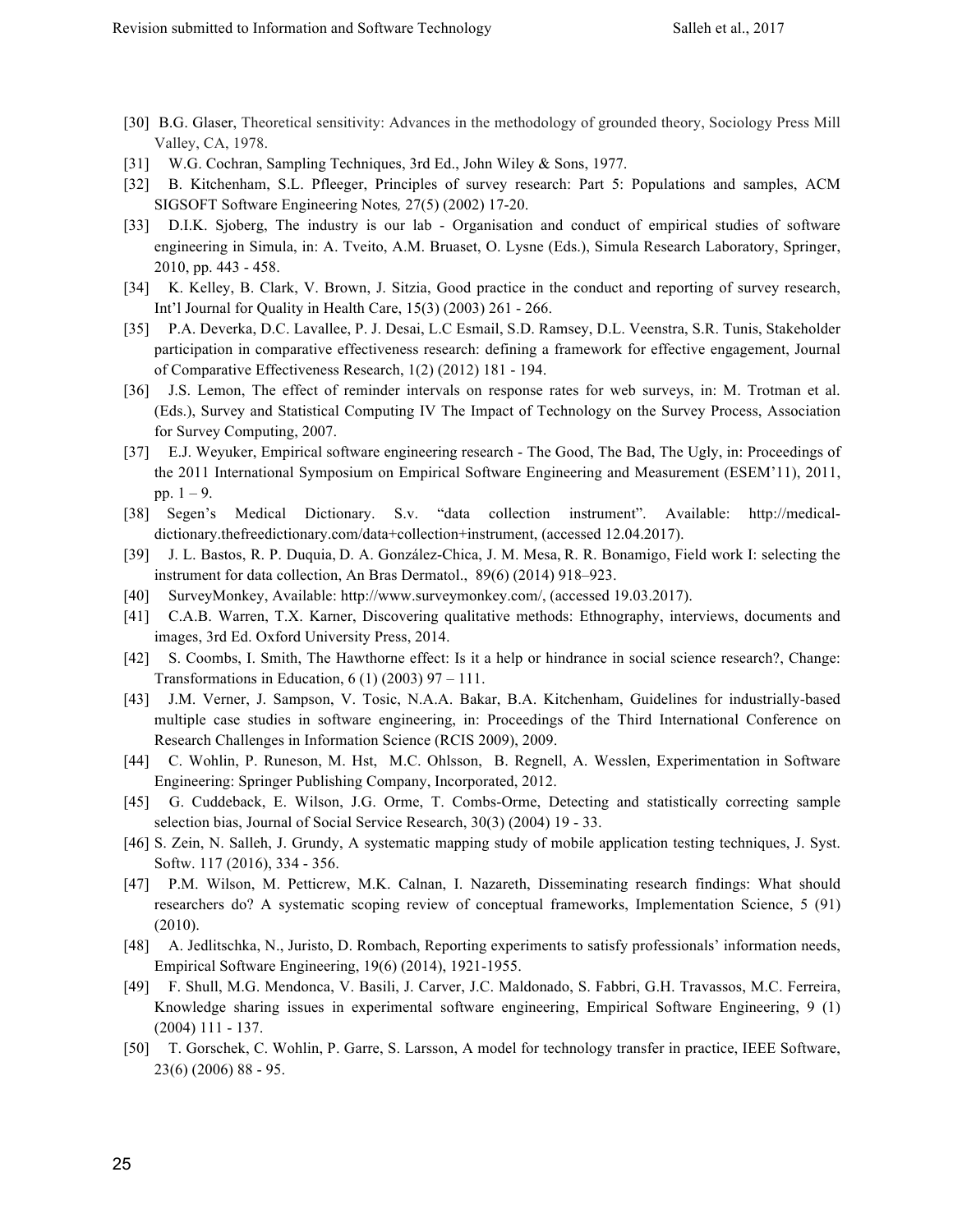- [30] B.G. Glaser, Theoretical sensitivity: Advances in the methodology of grounded theory, Sociology Press Mill Valley, CA, 1978.
- [31] W.G. Cochran, Sampling Techniques, 3rd Ed., John Wiley & Sons, 1977.
- [32] B. Kitchenham, S.L. Pfleeger, Principles of survey research: Part 5: Populations and samples, ACM SIGSOFT Software Engineering Notes*,* 27(5) (2002) 17-20.
- [33] D.I.K. Sjoberg, The industry is our lab Organisation and conduct of empirical studies of software engineering in Simula, in: A. Tveito, A.M. Bruaset, O. Lysne (Eds.), Simula Research Laboratory, Springer, 2010, pp. 443 - 458.
- [34] K. Kelley, B. Clark, V. Brown, J. Sitzia, Good practice in the conduct and reporting of survey research, Int'l Journal for Quality in Health Care, 15(3) (2003) 261 - 266.
- [35] P.A. Deverka, D.C. Lavallee, P. J. Desai, L.C Esmail, S.D. Ramsey, D.L. Veenstra, S.R. Tunis, Stakeholder participation in comparative effectiveness research: defining a framework for effective engagement, Journal of Comparative Effectiveness Research, 1(2) (2012) 181 - 194.
- [36] J.S. Lemon, The effect of reminder intervals on response rates for web surveys, in: M. Trotman et al. (Eds.), Survey and Statistical Computing IV The Impact of Technology on the Survey Process, Association for Survey Computing, 2007.
- [37] E.J. Weyuker, Empirical software engineering research The Good, The Bad, The Ugly, in: Proceedings of the 2011 International Symposium on Empirical Software Engineering and Measurement (ESEM'11), 2011, pp.  $1 - 9$ .
- [38] Segen's Medical Dictionary. S.v. "data collection instrument". Available: http://medicaldictionary.thefreedictionary.com/data+collection+instrument, (accessed 12.04.2017).
- [39] J. L. Bastos, R. P. Duquia, D. A. González-Chica, J. M. Mesa, R. R. Bonamigo, Field work I: selecting the instrument for data collection, An Bras Dermatol., 89(6) (2014) 918–923.
- [40] SurveyMonkey, Available: http://www.surveymonkey.com/, (accessed 19.03.2017).
- [41] C.A.B. Warren, T.X. Karner, Discovering qualitative methods: Ethnography, interviews, documents and images, 3rd Ed. Oxford University Press, 2014.
- [42] S. Coombs, I. Smith, The Hawthorne effect: Is it a help or hindrance in social science research?, Change: Transformations in Education,  $6(1)(2003)$  97 – 111.
- [43] J.M. Verner, J. Sampson, V. Tosic, N.A.A. Bakar, B.A. Kitchenham, Guidelines for industrially-based multiple case studies in software engineering, in: Proceedings of the Third International Conference on Research Challenges in Information Science (RCIS 2009), 2009.
- [44] C. Wohlin, P. Runeson, M. Hst, M.C. Ohlsson, B. Regnell, A. Wesslen, Experimentation in Software Engineering: Springer Publishing Company, Incorporated, 2012.
- [45] G. Cuddeback, E. Wilson, J.G. Orme, T. Combs-Orme, Detecting and statistically correcting sample selection bias, Journal of Social Service Research, 30(3) (2004) 19 - 33.
- [46] S. Zein, N. Salleh, J. Grundy, A systematic mapping study of mobile application testing techniques, J. Syst. Softw. 117 (2016), 334 - 356.
- [47] P.M. Wilson, M. Petticrew, M.K. Calnan, I. Nazareth, Disseminating research findings: What should researchers do? A systematic scoping review of conceptual frameworks, Implementation Science, 5 (91) (2010).
- [48] A. Jedlitschka, N., Juristo, D. Rombach, Reporting experiments to satisfy professionals' information needs, Empirical Software Engineering, 19(6) (2014), 1921-1955.
- [49] F. Shull, M.G. Mendonca, V. Basili, J. Carver, J.C. Maldonado, S. Fabbri, G.H. Travassos, M.C. Ferreira, Knowledge sharing issues in experimental software engineering, Empirical Software Engineering, 9 (1) (2004) 111 - 137.
- [50] T. Gorschek, C. Wohlin, P. Garre, S. Larsson, A model for technology transfer in practice, IEEE Software, 23(6) (2006) 88 - 95.